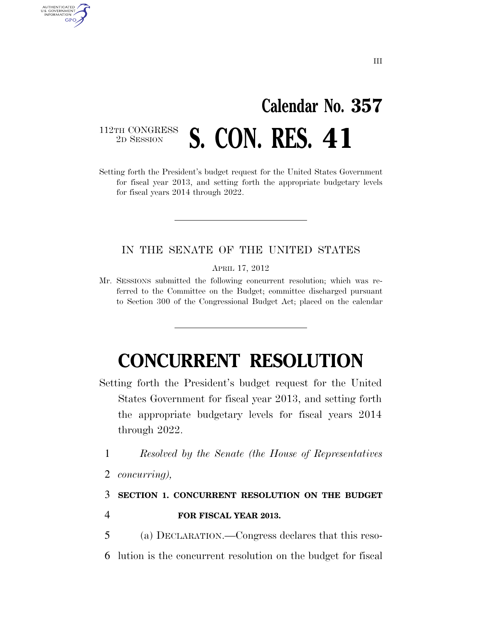## **Calendar No. 357**  112TH CONGRESS<br>2D SESSION **S. CON. RES. 41**

Setting forth the President's budget request for the United States Government for fiscal year 2013, and setting forth the appropriate budgetary levels for fiscal years 2014 through 2022.

## IN THE SENATE OF THE UNITED STATES

APRIL 17, 2012

Mr. SESSIONS submitted the following concurrent resolution; which was referred to the Committee on the Budget; committee discharged pursuant to Section 300 of the Congressional Budget Act; placed on the calendar

## **CONCURRENT RESOLUTION**

- Setting forth the President's budget request for the United States Government for fiscal year 2013, and setting forth the appropriate budgetary levels for fiscal years 2014 through 2022.
	- 1 *Resolved by the Senate (the House of Representatives*
	- 2 *concurring),*

AUTHENTICATED<br>U.S. GOVERNMENT<br>INFORMATION GPO

- 3 **SECTION 1. CONCURRENT RESOLUTION ON THE BUDGET**
- 4 **FOR FISCAL YEAR 2013.**
- 5 (a) DECLARATION.—Congress declares that this reso-6 lution is the concurrent resolution on the budget for fiscal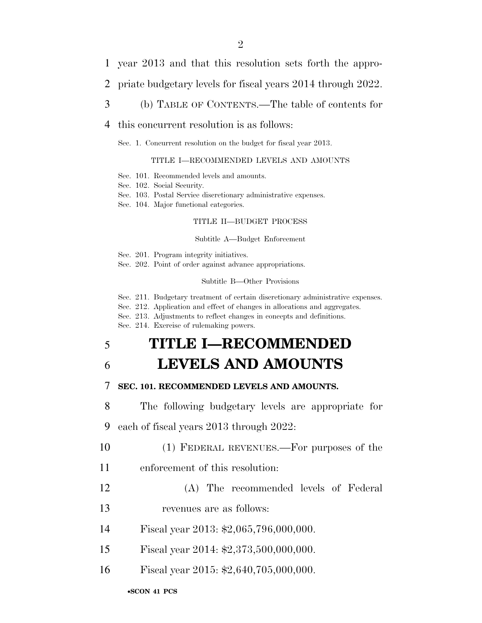- 1 year 2013 and that this resolution sets forth the appro-
- 2 priate budgetary levels for fiscal years 2014 through 2022.
- 3 (b) TABLE OF CONTENTS.—The table of contents for

#### 4 this concurrent resolution is as follows:

Sec. 1. Concurrent resolution on the budget for fiscal year 2013.

#### TITLE I—RECOMMENDED LEVELS AND AMOUNTS

- Sec. 101. Recommended levels and amounts.
- Sec. 102. Social Security.
- Sec. 103. Postal Service discretionary administrative expenses.
- Sec. 104. Major functional categories.

#### TITLE II—BUDGET PROCESS

#### Subtitle A—Budget Enforcement

Sec. 201. Program integrity initiatives.

Sec. 202. Point of order against advance appropriations.

#### Subtitle B—Other Provisions

Sec. 211. Budgetary treatment of certain discretionary administrative expenses.

- Sec. 212. Application and effect of changes in allocations and aggregates.
- Sec. 213. Adjustments to reflect changes in concepts and definitions.

Sec. 214. Exercise of rulemaking powers.

## 5 **TITLE I—RECOMMENDED**

## 6 **LEVELS AND AMOUNTS**

#### 7 **SEC. 101. RECOMMENDED LEVELS AND AMOUNTS.**

8 The following budgetary levels are appropriate for

9 each of fiscal years 2013 through 2022:

- 10 (1) FEDERAL REVENUES.—For purposes of the
- 11 enforcement of this resolution:
- 12 (A) The recommended levels of Federal
- 13 revenues are as follows:
- 14 Fiscal year 2013: \$2,065,796,000,000.
- 15 Fiscal year 2014: \$2,373,500,000,000.
- 16 Fiscal year 2015: \$2,640,705,000,000.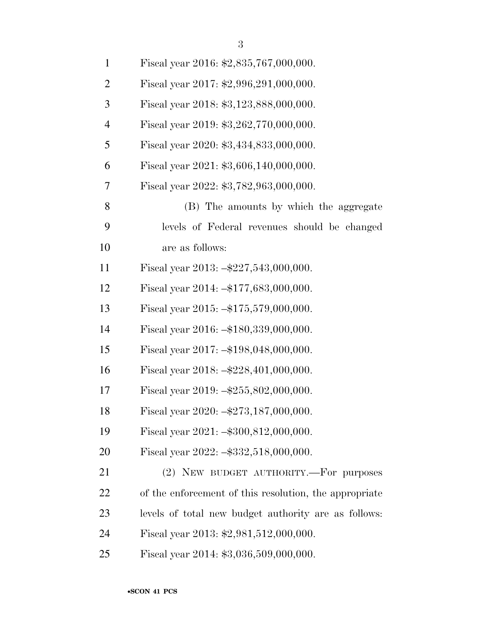| $\mathbf{1}$   | Fiscal year 2016: \$2,835,767,000,000.                 |
|----------------|--------------------------------------------------------|
| $\overline{2}$ | Fiscal year 2017: \$2,996,291,000,000.                 |
| 3              | Fiscal year 2018: \$3,123,888,000,000.                 |
| $\overline{4}$ | Fiscal year 2019: \$3,262,770,000,000.                 |
| 5              | Fiscal year 2020: \$3,434,833,000,000.                 |
| 6              | Fiscal year 2021: \$3,606,140,000,000.                 |
| $\tau$         | Fiscal year 2022: \$3,782,963,000,000.                 |
| 8              | (B) The amounts by which the aggregate                 |
| 9              | levels of Federal revenues should be changed           |
| 10             | are as follows:                                        |
| 11             | Fiscal year $2013: -227,543,000,000.$                  |
| 12             | Fiscal year 2014: -\$177,683,000,000.                  |
| 13             | Fiscal year 2015: -\$175,579,000,000.                  |
| 14             | Fiscal year 2016: -\$180,339,000,000.                  |
| 15             | Fiscal year 2017: -\$198,048,000,000.                  |
| 16             | Fiscal year $2018: -2228,401,000,000.$                 |
| 17             | Fiscal year 2019: -\$255,802,000,000.                  |
| 18             | Fiscal year $2020: -273, 187, 000, 000.$               |
| 19             | Fiscal year 2021: - \$300,812,000,000.                 |
| 20             | Fiscal year $2022: -\$332, 518, 000, 000.$             |
| 21             | (2) NEW BUDGET AUTHORITY.-For purposes                 |
| 22             | of the enforcement of this resolution, the appropriate |
| 23             | levels of total new budget authority are as follows:   |
| 24             | Fiscal year 2013: $$2,981,512,000,000$ .               |
| 25             | Fiscal year 2014: \$3,036,509,000,000.                 |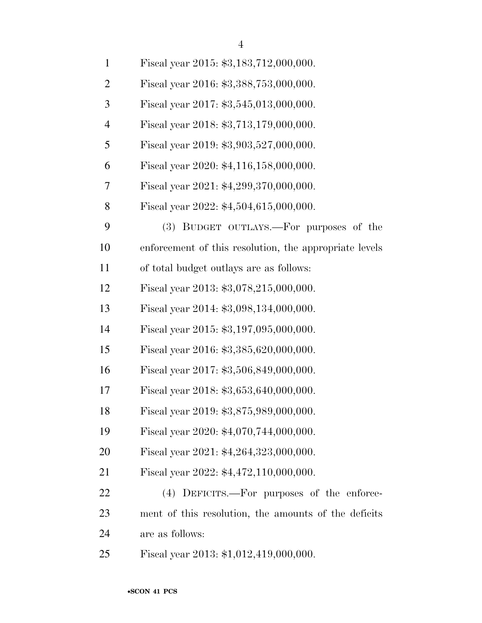| $\mathbf{1}$   | Fiscal year 2015: \$3,183,712,000,000.                 |
|----------------|--------------------------------------------------------|
| $\overline{2}$ | Fiscal year 2016: \$3,388,753,000,000.                 |
| 3              | Fiscal year 2017: \$3,545,013,000,000.                 |
| $\overline{4}$ | Fiscal year 2018: \$3,713,179,000,000.                 |
| 5              | Fiscal year 2019: \$3,903,527,000,000.                 |
| 6              | Fiscal year 2020: \$4,116,158,000,000.                 |
| 7              | Fiscal year 2021: \$4,299,370,000,000.                 |
| 8              | Fiscal year 2022: $$4,504,615,000,000$ .               |
| 9              | (3) BUDGET OUTLAYS.—For purposes of the                |
| 10             | enforcement of this resolution, the appropriate levels |
| 11             | of total budget outlays are as follows:                |
| 12             | Fiscal year 2013: $$3,078,215,000,000$ .               |
| 13             | Fiscal year 2014: \$3,098,134,000,000.                 |
| 14             | Fiscal year 2015: \$3,197,095,000,000.                 |
| 15             | Fiscal year 2016: \$3,385,620,000,000.                 |
| 16             | Fiscal year 2017: \$3,506,849,000,000.                 |
| 17             | Fiscal year 2018: \$3,653,640,000,000.                 |
| 18             | Fiscal year 2019: \$3,875,989,000,000.                 |
| 19             | Fiscal year 2020: \$4,070,744,000,000.                 |
| 20             | Fiscal year 2021: \$4,264,323,000,000.                 |
| 21             | Fiscal year 2022: $$4,472,110,000,000$ .               |
| 22             | (4) DEFICITS.—For purposes of the enforce-             |
| 23             | ment of this resolution, the amounts of the deficits   |
| 24             | are as follows:                                        |
| 25             | Fiscal year 2013: \$1,012,419,000,000.                 |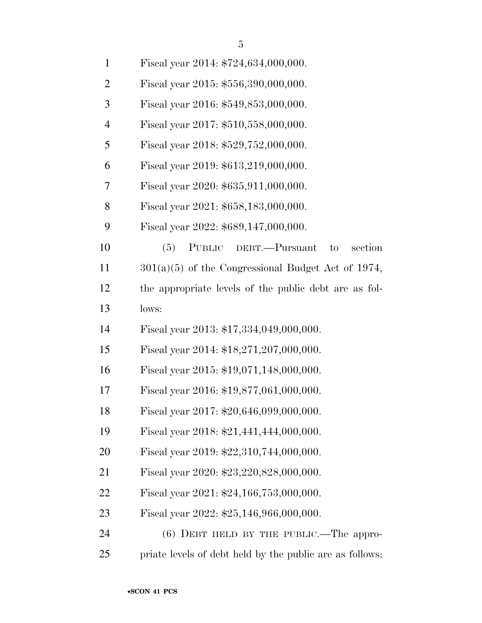| $\overline{2}$ | Fiscal year 2015: \$556,390,000,000.                  |
|----------------|-------------------------------------------------------|
| 3              | Fiscal year 2016: \$549,853,000,000.                  |
| $\overline{4}$ | Fiscal year 2017: \$510,558,000,000.                  |
| 5              | Fiscal year 2018: \$529,752,000,000.                  |
| 6              | Fiscal year 2019: \$613,219,000,000.                  |
| 7              | Fiscal year 2020: \$635,911,000,000.                  |
| 8              | Fiscal year 2021: \$658,183,000,000.                  |
| 9              | Fiscal year 2022: \$689,147,000,000.                  |
| 10             | section<br>(5)<br>PUBLIC<br>DEBT.—Pursuant<br>to      |
| 11             | $301(a)(5)$ of the Congressional Budget Act of 1974,  |
| 12             | the appropriate levels of the public debt are as fol- |
| 13             | lows:                                                 |
| 14             | Fiscal year 2013: \$17,334,049,000,000.               |
| 15             | Fiscal year 2014: \$18,271,207,000,000.               |
| 16             | Fiscal year 2015: \$19,071,148,000,000.               |
| 17             | Fiscal year 2016: \$19,877,061,000,000.               |
| 18             | Fiscal year 2017: \$20,646,099,000,000.               |
| 19             | Fiscal year 2018: \$21,441,444,000,000.               |
| 20             | Fiscal year 2019: \$22,310,744,000,000.               |
| 21             | Fiscal year 2020: \$23,220,828,000,000.               |
| 22             | Fiscal year 2021: \$24,166,753,000,000.               |
| 23             | Fiscal year 2022: \$25,146,966,000,000.               |
|                |                                                       |

 (6) DEBT HELD BY THE PUBLIC.—The appro-priate levels of debt held by the public are as follows: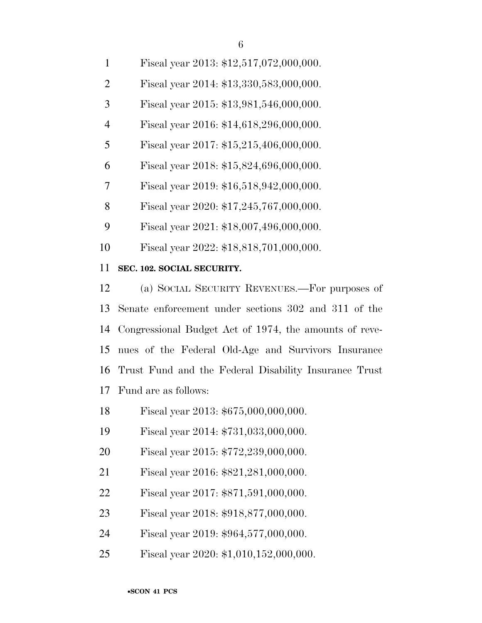| 1              | Fiscal year 2013: \$12,517,072,000,000. |
|----------------|-----------------------------------------|
| $\overline{2}$ | Fiscal year 2014: \$13,330,583,000,000. |
| 3              | Fiscal year 2015: \$13,981,546,000,000. |
| $\overline{4}$ | Fiscal year 2016: \$14,618,296,000,000. |
| 5              | Fiscal year 2017: \$15,215,406,000,000. |
| 6              | Fiscal year 2018: \$15,824,696,000,000. |
| 7              | Fiscal year 2019: \$16,518,942,000,000. |
| 8              | Fiscal year 2020: \$17,245,767,000,000. |
| 9              | Fiscal year 2021: \$18,007,496,000,000. |
| 10             | Fiscal year 2022: \$18,818,701,000,000. |

### **SEC. 102. SOCIAL SECURITY.**

 (a) SOCIAL SECURITY REVENUES.—For purposes of Senate enforcement under sections 302 and 311 of the Congressional Budget Act of 1974, the amounts of reve- nues of the Federal Old-Age and Survivors Insurance Trust Fund and the Federal Disability Insurance Trust Fund are as follows:

- Fiscal year 2013: \$675,000,000,000.
- Fiscal year 2014: \$731,033,000,000.
- Fiscal year 2015: \$772,239,000,000.
- Fiscal year 2016: \$821,281,000,000.
- Fiscal year 2017: \$871,591,000,000.
- Fiscal year 2018: \$918,877,000,000.
- Fiscal year 2019: \$964,577,000,000.
- Fiscal year 2020: \$1,010,152,000,000.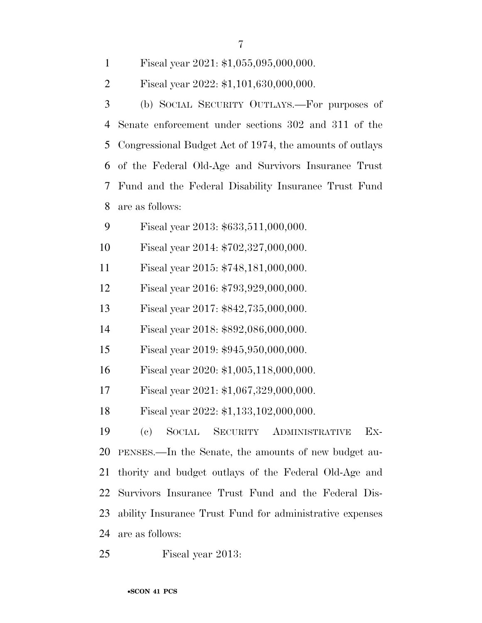| Fiscal year $2021: $1,055,095,000,000.$                  |
|----------------------------------------------------------|
| Fiscal year 2022: \$1,101,630,000,000.                   |
| (b) SOCIAL SECURITY OUTLAYS.—For purposes of             |
| Senate enforcement under sections 302 and 311 of the     |
| Congressional Budget Act of 1974, the amounts of outlays |
| of the Federal Old-Age and Survivors Insurance Trust     |
| Fund and the Federal Disability Insurance Trust Fund     |
| are as follows:                                          |
| Fiscal year 2013: \$633,511,000,000.                     |
| Fiscal year 2014: \$702,327,000,000.                     |
| Fiscal year 2015: \$748,181,000,000.                     |
| Fiscal year 2016: \$793,929,000,000.                     |
| Fiscal year 2017: \$842,735,000,000.                     |
| Fiscal year 2018: \$892,086,000,000.                     |
| Fiscal year 2019: \$945,950,000,000.                     |
| Fiscal year 2020: \$1,005,118,000,000.                   |
| Fiscal year 2021: \$1,067,329,000,000.                   |
| Fiscal year 2022: \$1,133,102,000,000.                   |
| SOCIAL<br>SECURITY<br>Ex-<br>(e)<br>ADMINISTRATIVE       |
| PENSES.—In the Senate, the amounts of new budget au-     |
| thority and budget outlays of the Federal Old-Age and    |
| Survivors Insurance Trust Fund and the Federal Dis-      |
| ability Insurance Trust Fund for administrative expenses |
| are as follows:                                          |
|                                                          |

Fiscal year 2013: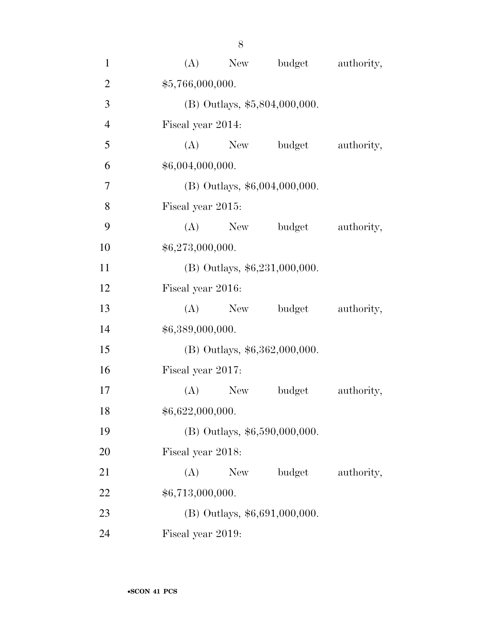| $\mathbf{1}$   | (A)               | New                           | budget                          | authority, |  |  |  |
|----------------|-------------------|-------------------------------|---------------------------------|------------|--|--|--|
| $\overline{2}$ |                   | \$5,766,000,000.              |                                 |            |  |  |  |
| 3              |                   | (B) Outlays, \$5,804,000,000. |                                 |            |  |  |  |
| $\overline{4}$ |                   | Fiscal year 2014:             |                                 |            |  |  |  |
| 5              | (A)               | <b>New</b>                    | budget                          | authority, |  |  |  |
| 6              | \$6,004,000,000.  |                               |                                 |            |  |  |  |
| 7              |                   |                               | (B) Outlays, \$6,004,000,000.   |            |  |  |  |
| 8              | Fiscal year 2015: |                               |                                 |            |  |  |  |
| 9              | (A)               | New                           | budget                          | authority, |  |  |  |
| 10             | \$6,273,000,000.  |                               |                                 |            |  |  |  |
| 11             |                   |                               | (B) Outlays, \$6,231,000,000.   |            |  |  |  |
| 12             | Fiscal year 2016: |                               |                                 |            |  |  |  |
| 13             |                   | $(A)$ New                     | budget                          | authority, |  |  |  |
| 14             |                   | \$6,389,000,000.              |                                 |            |  |  |  |
| 15             |                   |                               | (B) Outlays, \$6,362,000,000.   |            |  |  |  |
| 16             | Fiscal year 2017: |                               |                                 |            |  |  |  |
| 17             | (A)               | New                           | budget                          | authority, |  |  |  |
| 18             |                   | \$6,622,000,000.              |                                 |            |  |  |  |
| 19             |                   | (B) Outlays, \$6,590,000,000. |                                 |            |  |  |  |
| 20             | Fiscal year 2018: |                               |                                 |            |  |  |  |
| 21             | (A)               | New                           | budget                          | authority, |  |  |  |
| 22             |                   | \$6,713,000,000.              |                                 |            |  |  |  |
| 23             |                   |                               | $(B)$ Outlays, \$6,691,000,000. |            |  |  |  |
| 24             | Fiscal year 2019: |                               |                                 |            |  |  |  |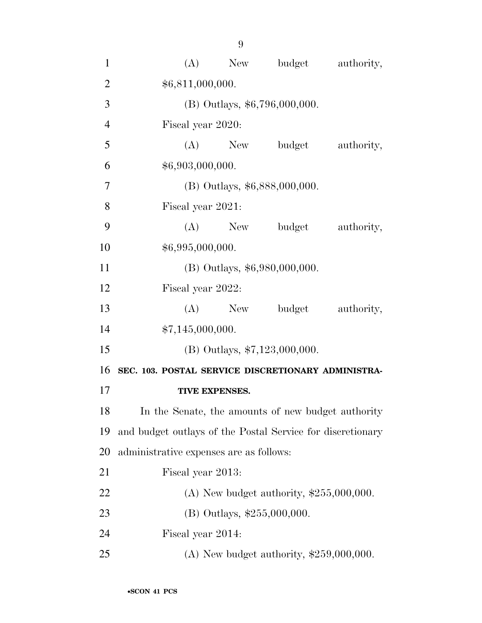| $\mathbf{1}$   | (A)                                                        | New       | budget                                     | authority, |  |
|----------------|------------------------------------------------------------|-----------|--------------------------------------------|------------|--|
| $\overline{2}$ | \$6,811,000,000.                                           |           |                                            |            |  |
| 3              | (B) Outlays, \$6,796,000,000.                              |           |                                            |            |  |
| $\overline{4}$ | Fiscal year 2020:                                          |           |                                            |            |  |
| 5              | (A)                                                        | New       | budget                                     | authority, |  |
| 6              | \$6,903,000,000.                                           |           |                                            |            |  |
| $\overline{7}$ |                                                            |           | (B) Outlays, \$6,888,000,000.              |            |  |
| 8              | Fiscal year 2021:                                          |           |                                            |            |  |
| 9              | (A)                                                        | New       | budget                                     | authority, |  |
| 10             | \$6,995,000,000.                                           |           |                                            |            |  |
| 11             |                                                            |           | (B) Outlays, \$6,980,000,000.              |            |  |
| 12             | Fiscal year 2022:                                          |           |                                            |            |  |
| 13             |                                                            | $(A)$ New | budget                                     | authority, |  |
| 14             | \$7,145,000,000.                                           |           |                                            |            |  |
| 15             | $(B)$ Outlays, \$7,123,000,000.                            |           |                                            |            |  |
| 16             | SEC. 103. POSTAL SERVICE DISCRETIONARY ADMINISTRA-         |           |                                            |            |  |
| 17             | TIVE EXPENSES.                                             |           |                                            |            |  |
| 18             | In the Senate, the amounts of new budget authority         |           |                                            |            |  |
| 19             | and budget outlays of the Postal Service for discretionary |           |                                            |            |  |
| 20             | administrative expenses are as follows:                    |           |                                            |            |  |
| 21             | Fiscal year 2013:                                          |           |                                            |            |  |
| 22             |                                                            |           | (A) New budget authority, $$255,000,000$ . |            |  |
| 23             |                                                            |           | (B) Outlays, \$255,000,000.                |            |  |
| 24             | Fiscal year 2014:                                          |           |                                            |            |  |
| 25             |                                                            |           | (A) New budget authority, $$259,000,000$ . |            |  |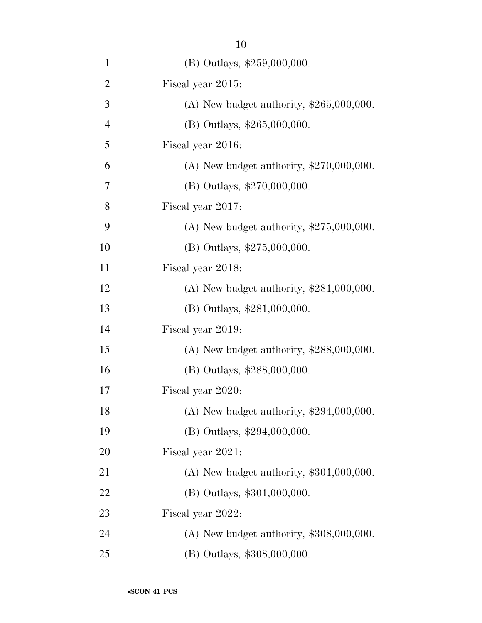| $\mathbf{1}$   | (B) Outlays, \$259,000,000.                |
|----------------|--------------------------------------------|
| $\overline{2}$ | Fiscal year 2015:                          |
| 3              | (A) New budget authority, $$265,000,000$ . |
| $\overline{4}$ | (B) Outlays, \$265,000,000.                |
| 5              | Fiscal year 2016:                          |
| 6              | (A) New budget authority, $$270,000,000$ . |
| 7              | (B) Outlays, \$270,000,000.                |
| 8              | Fiscal year 2017:                          |
| 9              | (A) New budget authority, $$275,000,000$ . |
| 10             | (B) Outlays, \$275,000,000.                |
| 11             | Fiscal year 2018:                          |
| 12             | (A) New budget authority, $$281,000,000$ . |
| 13             | (B) Outlays, \$281,000,000.                |
| 14             | Fiscal year 2019:                          |
| 15             | (A) New budget authority, $$288,000,000$ . |
| 16             | (B) Outlays, \$288,000,000.                |
| 17             | Fiscal year 2020:                          |
| 18             | (A) New budget authority, $$294,000,000$ . |
| 19             | (B) Outlays, \$294,000,000.                |
| 20             | Fiscal year 2021:                          |
| 21             | (A) New budget authority, $$301,000,000$ . |
| 22             | (B) Outlays, \$301,000,000.                |
| 23             | Fiscal year 2022:                          |
| 24             | $(A)$ New budget authority, \$308,000,000. |
| 25             | (B) Outlays, \$308,000,000.                |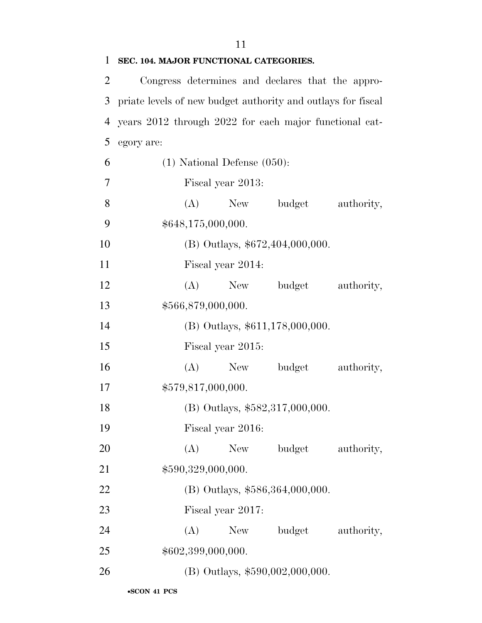| 1              | SEC. 104. MAJOR FUNCTIONAL CATEGORIES.                       |  |  |  |  |
|----------------|--------------------------------------------------------------|--|--|--|--|
| $\overline{2}$ | Congress determines and declares that the appro-             |  |  |  |  |
| 3              | priate levels of new budget authority and outlays for fiscal |  |  |  |  |
| $\overline{4}$ | years 2012 through 2022 for each major functional cat-       |  |  |  |  |
| 5              | egory are:                                                   |  |  |  |  |
| 6              | $(1)$ National Defense $(050)$ :                             |  |  |  |  |
| 7              | Fiscal year 2013:                                            |  |  |  |  |
| $8\,$          | $(A)$ New<br>budget<br>authority,                            |  |  |  |  |
| 9              | \$648,175,000,000.                                           |  |  |  |  |
| 10             | (B) Outlays, \$672,404,000,000.                              |  |  |  |  |
| 11             | Fiscal year 2014:                                            |  |  |  |  |
| 12             | New<br>budget<br>authority,<br>(A)                           |  |  |  |  |
| 13             | \$566,879,000,000.                                           |  |  |  |  |
| 14             | (B) Outlays, \$611,178,000,000.                              |  |  |  |  |
| 15             | Fiscal year 2015:                                            |  |  |  |  |
| 16             | (A)<br>budget<br>authority,<br>New                           |  |  |  |  |
| 17             | \$579,817,000,000.                                           |  |  |  |  |
| 18             | (B) Outlays, $$582,317,000,000$ .                            |  |  |  |  |
| 19             | Fiscal year 2016:                                            |  |  |  |  |
| 20             | budget<br>(A)<br>New<br>authority,                           |  |  |  |  |
| 21             | \$590,329,000,000.                                           |  |  |  |  |
| 22             | (B) Outlays, \$586,364,000,000.                              |  |  |  |  |
| 23             | Fiscal year 2017:                                            |  |  |  |  |
| 24             | budget<br>(A)<br>New<br>authority,                           |  |  |  |  |
| 25             | \$602,399,000,000.                                           |  |  |  |  |
| 26             | (B) Outlays, \$590,002,000,000.                              |  |  |  |  |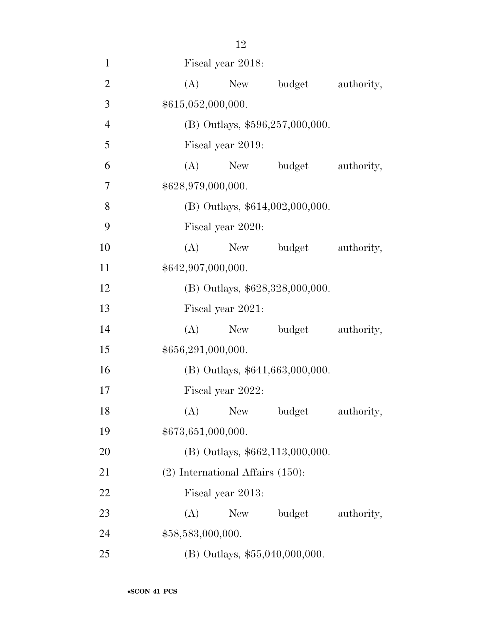| $\overline{2}$ |                                 | $(A)$ New                             | budget                            | authority, |  |
|----------------|---------------------------------|---------------------------------------|-----------------------------------|------------|--|
| 3              | \$615,052,000,000.              |                                       |                                   |            |  |
| $\overline{4}$ | (B) Outlays, \$596,257,000,000. |                                       |                                   |            |  |
| 5              | Fiscal year 2019:               |                                       |                                   |            |  |
| 6              | (A)                             | New                                   | budget                            | authority, |  |
| 7              |                                 | \$628,979,000,000.                    |                                   |            |  |
| 8              |                                 |                                       | $(B)$ Outlays, \$614,002,000,000. |            |  |
| 9              |                                 | Fiscal year 2020:                     |                                   |            |  |
| 10             | (A)                             | New                                   | budget                            | authority, |  |
| 11             |                                 | \$642,907,000,000.                    |                                   |            |  |
| 12             |                                 |                                       | (B) Outlays, \$628,328,000,000.   |            |  |
| 13             |                                 | Fiscal year 2021:                     |                                   |            |  |
| 14             | (A)                             | New                                   | budget                            | authority, |  |
| 15             | \$656,291,000,000.              |                                       |                                   |            |  |
| 16             |                                 |                                       | $(B)$ Outlays, \$641,663,000,000. |            |  |
| 17             |                                 | Fiscal year 2022:                     |                                   |            |  |
| 18             | (A)                             | New                                   | budget                            | authority, |  |
| 19             | \$673,651,000,000.              |                                       |                                   |            |  |
| 20             |                                 |                                       | $(B)$ Outlays, \$662,113,000,000. |            |  |
| 21             |                                 | $(2)$ International Affairs $(150)$ : |                                   |            |  |
| 22             |                                 | Fiscal year 2013:                     |                                   |            |  |
| 23             | (A)                             | New                                   | budget                            | authority, |  |
| 24             | \$58,583,000,000.               |                                       |                                   |            |  |
| 25             |                                 |                                       | $(B)$ Outlays, \$55,040,000,000.  |            |  |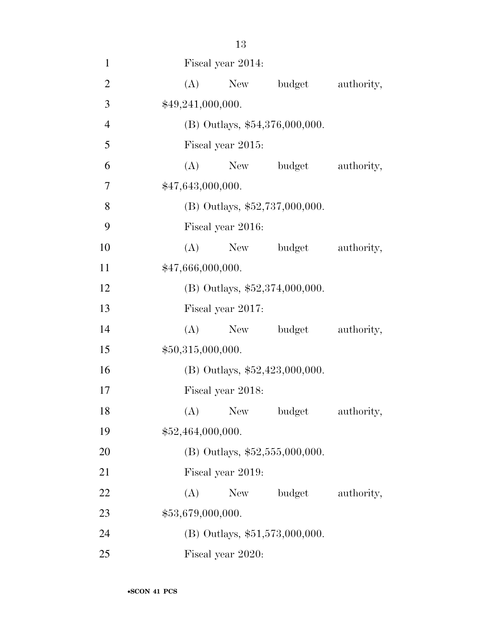| $\mathbf{1}$   | Fiscal year 2014:                  |
|----------------|------------------------------------|
| $\overline{2}$ | budget<br>(A)<br>New<br>authority, |
| 3              | \$49,241,000,000.                  |
| $\overline{4}$ | (B) Outlays, \$54,376,000,000.     |
| 5              | Fiscal year 2015:                  |
| 6              | (A)<br>New budget<br>authority,    |
| $\overline{7}$ | \$47,643,000,000.                  |
| 8              | (B) Outlays, $$52,737,000,000$ .   |
| 9              | Fiscal year 2016:                  |
| 10             | (A)<br>budget<br>authority,<br>New |
| 11             | \$47,666,000,000.                  |
| 12             | (B) Outlays, $$52,374,000,000$ .   |
| 13             | Fiscal year 2017:                  |
| 14             | (A)<br>New budget<br>authority,    |
| 15             | \$50,315,000,000.                  |
| 16             | (B) Outlays, \$52,423,000,000.     |
| 17             | Fiscal year 2018:                  |
| 18             | New<br>(A)<br>budget<br>authority, |
| 19             | \$52,464,000,000.                  |
| <b>20</b>      | (B) Outlays, $$52,555,000,000$ .   |
| 21             | Fiscal year 2019:                  |
| 22             | budget<br>(A)<br>New<br>authority, |
| 23             | \$53,679,000,000.                  |
| 24             | $(B)$ Outlays, \$51,573,000,000.   |
| 25             | Fiscal year 2020:                  |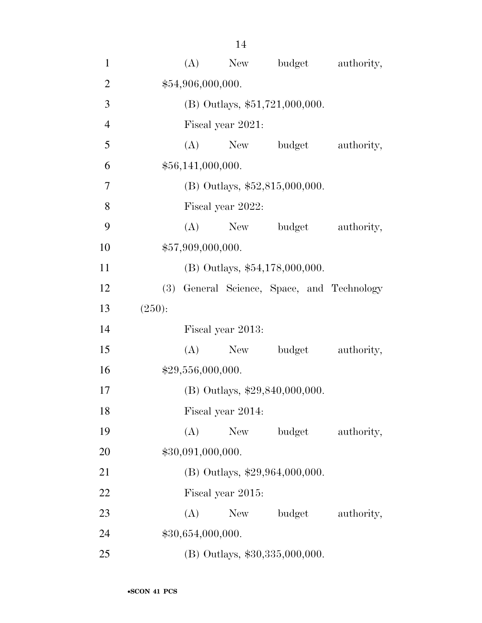| $\mathbf{1}$   |        | (A)                              | New               | budget                                     | authority, |  |
|----------------|--------|----------------------------------|-------------------|--------------------------------------------|------------|--|
| $\overline{2}$ |        | \$54,906,000,000.                |                   |                                            |            |  |
| 3              |        | $(B)$ Outlays, \$51,721,000,000. |                   |                                            |            |  |
| $\overline{4}$ |        |                                  | Fiscal year 2021: |                                            |            |  |
| 5              |        | (A)                              | New               | budget                                     | authority, |  |
| 6              |        | \$56,141,000,000.                |                   |                                            |            |  |
| $\overline{7}$ |        |                                  |                   | $(B)$ Outlays, \$52,815,000,000.           |            |  |
| 8              |        |                                  | Fiscal year 2022: |                                            |            |  |
| 9              |        | (A)                              | New               | budget                                     | authority, |  |
| 10             |        | \$57,909,000,000.                |                   |                                            |            |  |
| 11             |        |                                  |                   | $(B)$ Outlays, \$54,178,000,000.           |            |  |
| 12             |        |                                  |                   | (3) General Science, Space, and Technology |            |  |
| 13             | (250): |                                  |                   |                                            |            |  |
| 14             |        |                                  | Fiscal year 2013: |                                            |            |  |
| 15             |        | (A)                              | New               | budget                                     | authority, |  |
| 16             |        | \$29,556,000,000.                |                   |                                            |            |  |
| 17             |        |                                  |                   | (B) Outlays, \$29,840,000,000.             |            |  |
| 18             |        |                                  | Fiscal year 2014: |                                            |            |  |
| 19             |        | (A)                              | New               | budget                                     | authority, |  |
| 20             |        | \$30,091,000,000.                |                   |                                            |            |  |
| 21             |        |                                  |                   | (B) Outlays, \$29,964,000,000.             |            |  |
| 22             |        |                                  | Fiscal year 2015: |                                            |            |  |
| 23             |        | (A)                              | New               | budget                                     | authority, |  |
| 24             |        | \$30,654,000,000.                |                   |                                            |            |  |
| 25             |        |                                  |                   | (B) Outlays, \$30,335,000,000.             |            |  |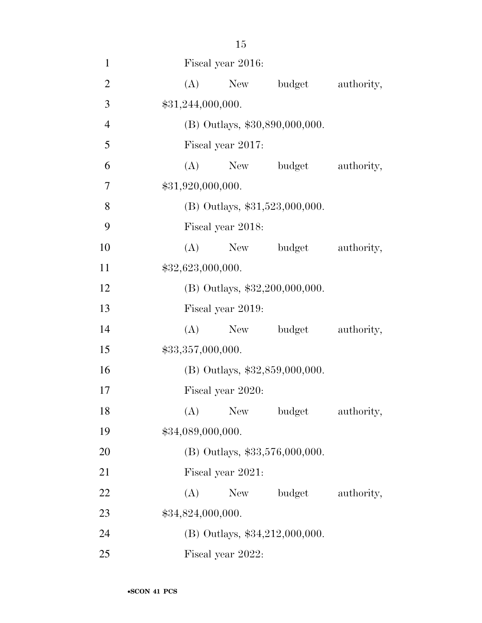| $\mathbf{1}$   |                   | Fiscal year 2016: |                                  |            |
|----------------|-------------------|-------------------|----------------------------------|------------|
| $\overline{2}$ | (A)               | New               | budget                           | authority, |
| 3              | \$31,244,000,000. |                   |                                  |            |
| $\overline{4}$ |                   |                   | (B) Outlays, \$30,890,000,000.   |            |
| 5              |                   | Fiscal year 2017: |                                  |            |
| 6              | (A)               | New               | budget                           | authority, |
| 7              | \$31,920,000,000. |                   |                                  |            |
| 8              |                   |                   | $(B)$ Outlays, \$31,523,000,000. |            |
| 9              |                   | Fiscal year 2018: |                                  |            |
| 10             | (A)               | New               | budget                           | authority, |
| 11             | \$32,623,000,000. |                   |                                  |            |
| 12             |                   |                   | (B) Outlays, \$32,200,000,000.   |            |
| 13             |                   | Fiscal year 2019: |                                  |            |
| 14             | (A)               | New               | budget                           | authority, |
| 15             | \$33,357,000,000. |                   |                                  |            |
| 16             |                   |                   | (B) Outlays, \$32,859,000,000.   |            |
| 17             |                   | Fiscal year 2020: |                                  |            |
| 18             |                   |                   | (A) New budget authority,        |            |
| 19             | \$34,089,000,000. |                   |                                  |            |
| 20             |                   |                   | (B) Outlays, \$33,576,000,000.   |            |
| 21             |                   | Fiscal year 2021: |                                  |            |
| 22             | (A)               | New               | budget                           | authority, |
| 23             | \$34,824,000,000. |                   |                                  |            |
| 24             |                   |                   | $(B)$ Outlays, \$34,212,000,000. |            |
| 25             |                   | Fiscal year 2022: |                                  |            |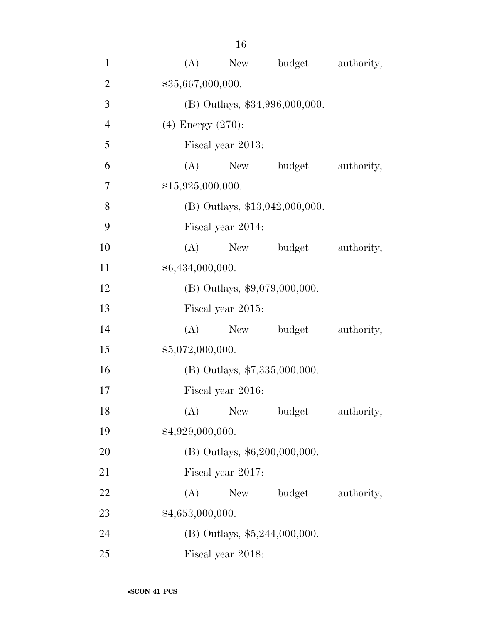| $\mathbf{1}$   | (A)<br>New<br>budget<br>authority, |  |
|----------------|------------------------------------|--|
| $\overline{2}$ | \$35,667,000,000.                  |  |
| 3              | (B) Outlays, \$34,996,000,000.     |  |
| $\overline{4}$ | $(4)$ Energy $(270)$ :             |  |
| 5              | Fiscal year 2013:                  |  |
| 6              | New budget<br>(A)<br>authority,    |  |
| 7              | \$15,925,000,000.                  |  |
| 8              | $(B)$ Outlays, \$13,042,000,000.   |  |
| 9              | Fiscal year 2014:                  |  |
| 10             | (A)<br>budget<br>authority,<br>New |  |
| 11             | \$6,434,000,000.                   |  |
| 12             | (B) Outlays, \$9,079,000,000.      |  |
| 13             | Fiscal year 2015:                  |  |
| 14             | New budget<br>(A)<br>authority,    |  |
| 15             | \$5,072,000,000.                   |  |
| 16             | (B) Outlays, \$7,335,000,000.      |  |
| 17             | Fiscal year 2016:                  |  |
| 18             | New<br>(A)<br>budget<br>authority, |  |
| 19             | \$4,929,000,000.                   |  |
| 20             | (B) Outlays, \$6,200,000,000.      |  |
| 21             | Fiscal year 2017:                  |  |
| 22             | (A)<br>New<br>budget<br>authority, |  |
| 23             | \$4,653,000,000.                   |  |
| 24             | (B) Outlays, $$5,244,000,000$ .    |  |
| 25             | Fiscal year 2018:                  |  |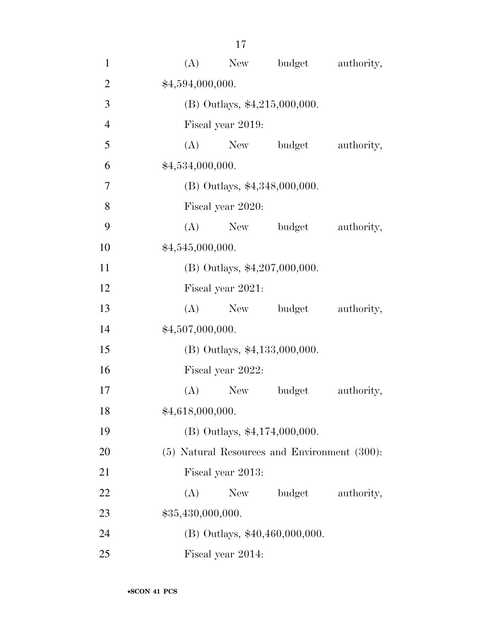| $\mathbf{1}$   | (A)               | New               | budget                                       | authority, |
|----------------|-------------------|-------------------|----------------------------------------------|------------|
| $\overline{2}$ | \$4,594,000,000.  |                   |                                              |            |
| 3              |                   |                   | (B) Outlays, \$4,215,000,000.                |            |
| $\overline{4}$ |                   | Fiscal year 2019: |                                              |            |
| 5              | (A)               |                   | New budget                                   | authority, |
| 6              | \$4,534,000,000.  |                   |                                              |            |
| $\overline{7}$ |                   |                   | (B) Outlays, \$4,348,000,000.                |            |
| 8              |                   | Fiscal year 2020: |                                              |            |
| 9              | (A)               |                   | New budget                                   | authority, |
| 10             | \$4,545,000,000.  |                   |                                              |            |
| 11             |                   |                   | $(B)$ Outlays, \$4,207,000,000.              |            |
| 12             |                   | Fiscal year 2021: |                                              |            |
| 13             | (A)               | New               | budget                                       | authority, |
| 14             | \$4,507,000,000.  |                   |                                              |            |
| 15             |                   |                   | $(B)$ Outlays, \$4,133,000,000.              |            |
| 16             |                   | Fiscal year 2022: |                                              |            |
| 17             | (A)               | New               | budget                                       | authority, |
| 18             | \$4,618,000,000.  |                   |                                              |            |
| 19             |                   |                   | $(B)$ Outlays, \$4,174,000,000.              |            |
| 20             |                   |                   | (5) Natural Resources and Environment (300): |            |
| 21             |                   | Fiscal year 2013: |                                              |            |
| 22             | (A)               | New               | budget                                       | authority, |
| 23             | \$35,430,000,000. |                   |                                              |            |
| 24             |                   |                   | $(B)$ Outlays, \$40,460,000,000.             |            |
| 25             |                   | Fiscal year 2014: |                                              |            |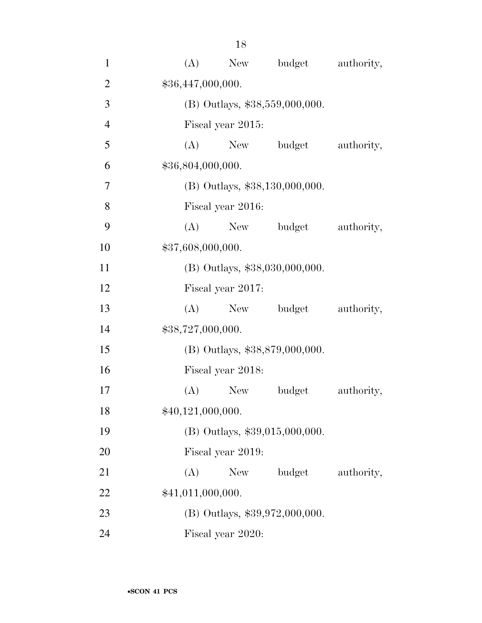| $\mathbf{1}$   | (A)               | New               | budget                           | authority, |
|----------------|-------------------|-------------------|----------------------------------|------------|
| $\overline{2}$ | \$36,447,000,000. |                   |                                  |            |
| 3              |                   |                   | $(B)$ Outlays, \$38,559,000,000. |            |
| $\overline{4}$ |                   | Fiscal year 2015: |                                  |            |
| 5              | (A)               |                   | New budget                       | authority, |
| 6              | \$36,804,000,000. |                   |                                  |            |
| $\overline{7}$ |                   |                   | (B) Outlays, \$38,130,000,000.   |            |
| 8              |                   | Fiscal year 2016: |                                  |            |
| 9              | (A)               |                   | New budget                       | authority, |
| 10             | \$37,608,000,000. |                   |                                  |            |
| 11             |                   |                   | (B) Outlays, \$38,030,000,000.   |            |
| 12             |                   | Fiscal year 2017: |                                  |            |
| 13             | (A)               | New               | budget                           | authority, |
| 14             | \$38,727,000,000. |                   |                                  |            |
| 15             |                   |                   | (B) Outlays, \$38,879,000,000.   |            |
| 16             |                   | Fiscal year 2018: |                                  |            |
| 17             | (A)               | <b>New</b>        | budget                           | authority, |
| 18             | \$40,121,000,000. |                   |                                  |            |
| 19             |                   |                   | (B) Outlays, \$39,015,000,000.   |            |
| 20             |                   | Fiscal year 2019: |                                  |            |
| 21             | (A)               | New               | budget                           | authority, |
| 22             | \$41,011,000,000. |                   |                                  |            |
| 23             |                   |                   | (B) Outlays, \$39,972,000,000.   |            |
| 24             |                   | Fiscal year 2020: |                                  |            |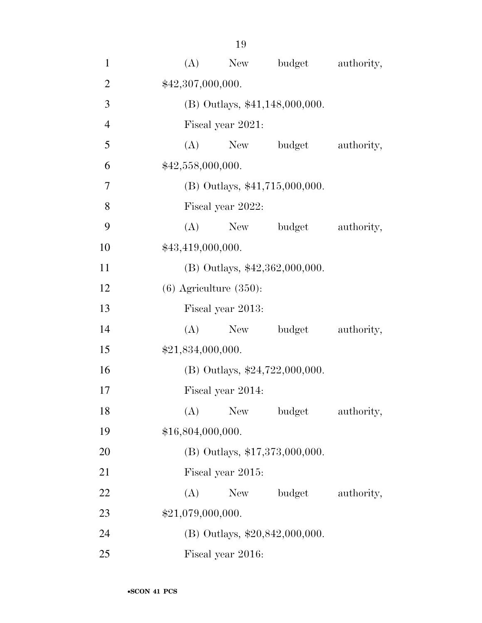| $\mathbf{1}$   | (A)               | New                              | budget | authority, |  |  |
|----------------|-------------------|----------------------------------|--------|------------|--|--|
| $\overline{2}$ | \$42,307,000,000. |                                  |        |            |  |  |
| 3              |                   | (B) Outlays, \$41,148,000,000.   |        |            |  |  |
| $\overline{4}$ |                   | Fiscal year 2021:                |        |            |  |  |
| 5              | (A)               | New                              | budget | authority, |  |  |
| 6              | \$42,558,000,000. |                                  |        |            |  |  |
| $\overline{7}$ |                   | $(B)$ Outlays, \$41,715,000,000. |        |            |  |  |
| 8              |                   | Fiscal year 2022:                |        |            |  |  |
| 9              | (A)               | New                              | budget | authority, |  |  |
| 10             | \$43,419,000,000. |                                  |        |            |  |  |
| 11             |                   | $(B)$ Outlays, \$42,362,000,000. |        |            |  |  |
| 12             |                   | $(6)$ Agriculture $(350)$ :      |        |            |  |  |
| 13             |                   | Fiscal year 2013:                |        |            |  |  |
| 14             | (A)               | New                              | budget | authority, |  |  |
| 15             | \$21,834,000,000. |                                  |        |            |  |  |
| 16             |                   | (B) Outlays, $$24,722,000,000$ . |        |            |  |  |
| 17             |                   | Fiscal year 2014:                |        |            |  |  |
| 18             | (A)               | <b>New</b>                       | budget | authority, |  |  |
| 19             | \$16,804,000,000. |                                  |        |            |  |  |
| 20             |                   | $(B)$ Outlays, \$17,373,000,000. |        |            |  |  |
| 21             |                   | Fiscal year 2015:                |        |            |  |  |
| 22             | (A)               | New                              | budget | authority, |  |  |
| 23             | \$21,079,000,000. |                                  |        |            |  |  |
| 24             |                   | (B) Outlays, $$20,842,000,000$ . |        |            |  |  |
| 25             |                   | Fiscal year 2016:                |        |            |  |  |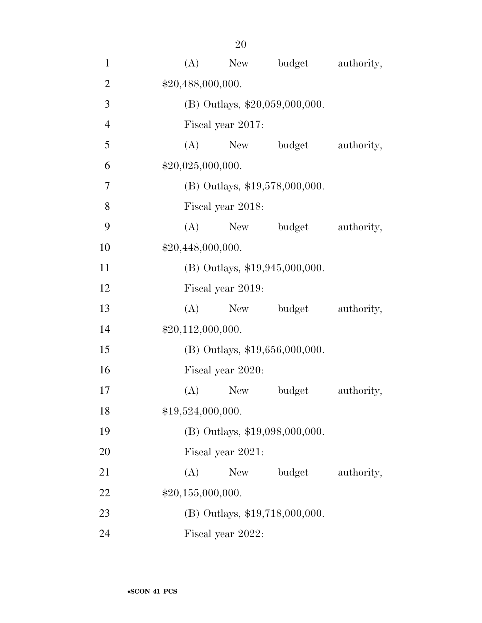| $\mathbf{1}$   | (A)               | New               | budget                           | authority, |
|----------------|-------------------|-------------------|----------------------------------|------------|
| $\overline{2}$ | \$20,488,000,000. |                   |                                  |            |
| 3              |                   |                   | $(B)$ Outlays, \$20,059,000,000. |            |
| $\overline{4}$ |                   | Fiscal year 2017: |                                  |            |
| 5              | (A)               | New York          | budget                           | authority, |
| 6              | \$20,025,000,000. |                   |                                  |            |
| $\overline{7}$ |                   |                   | $(B)$ Outlays, \$19,578,000,000. |            |
| 8              |                   | Fiscal year 2018: |                                  |            |
| 9              | (A)               |                   | New budget                       | authority, |
| 10             | \$20,448,000,000. |                   |                                  |            |
| 11             |                   |                   | $(B)$ Outlays, \$19,945,000,000. |            |
| 12             |                   | Fiscal year 2019: |                                  |            |
| 13             | (A)               | New               | budget                           | authority, |
| 14             | \$20,112,000,000. |                   |                                  |            |
| 15             |                   |                   | $(B)$ Outlays, \$19,656,000,000. |            |
| 16             |                   | Fiscal year 2020: |                                  |            |
| 17             | (A)               | <b>New</b>        | budget                           | authority, |
| 18             | \$19,524,000,000. |                   |                                  |            |
| 19             |                   |                   | (B) Outlays, \$19,098,000,000.   |            |
| 20             |                   | Fiscal year 2021: |                                  |            |
| 21             | (A)               | New               | budget                           | authority, |
| 22             | \$20,155,000,000. |                   |                                  |            |
| 23             |                   |                   | (B) Outlays, \$19,718,000,000.   |            |
| 24             |                   | Fiscal year 2022: |                                  |            |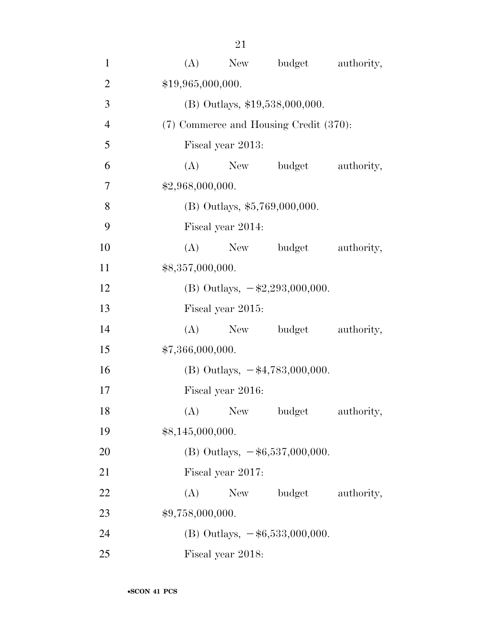| $\mathbf{1}$   | budget<br>(A)<br>New                      | authority, |
|----------------|-------------------------------------------|------------|
| $\overline{2}$ | \$19,965,000,000.                         |            |
| 3              | (B) Outlays, \$19,538,000,000.            |            |
| $\overline{4}$ | (7) Commerce and Housing Credit (370):    |            |
| 5              | Fiscal year 2013:                         |            |
| 6              | (A) New budget                            | authority, |
| 7              | \$2,968,000,000.                          |            |
| 8              | $(B)$ Outlays, \$5,769,000,000.           |            |
| 9              | Fiscal year 2014:                         |            |
| 10             | (A)<br>New budget                         | authority, |
| 11             | \$8,357,000,000.                          |            |
| 12             | (B) Outlays, $-\$2,293,000,000$ .         |            |
| 13             | Fiscal year 2015:                         |            |
| 14             | New budget<br>(A)                         | authority, |
| 15             | \$7,366,000,000.                          |            |
| 16             | (B) Outlays, $-\frac{4}{3},783,000,000$ . |            |
| 17             | Fiscal year 2016:                         |            |
| 18             | (A) New budget                            | authority, |
| 19             | \$8,145,000,000.                          |            |
| 20             | (B) Outlays, $-\$6,537,000,000$ .         |            |
| 21             | Fiscal year 2017:                         |            |
| 22             | New budget<br>(A)                         | authority, |
| 23             | \$9,758,000,000.                          |            |
| 24             | (B) Outlays, $-\$6,533,000,000$ .         |            |
| 25             | Fiscal year 2018:                         |            |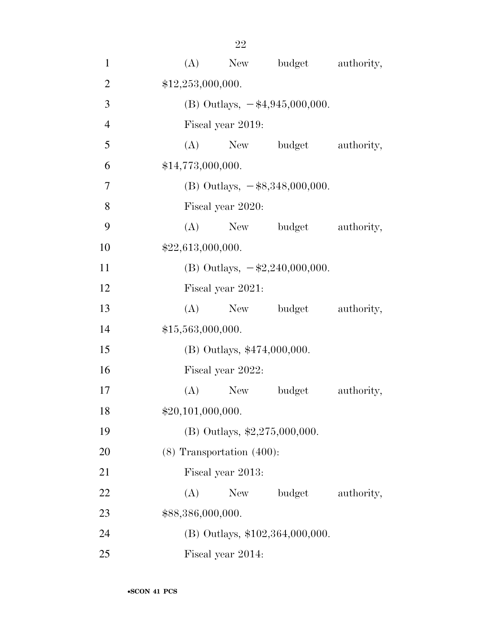| $\mathbf{1}$   |     |                                |                                                                                 | (A) New budget authority, |
|----------------|-----|--------------------------------|---------------------------------------------------------------------------------|---------------------------|
| $\overline{2}$ |     | \$12,253,000,000.              |                                                                                 |                           |
| 3              |     |                                | (B) Outlays, $-\frac{4}{3}\frac{4}{9}\cdot\frac{5}{1000}\cdot\frac{100}{100}$ . |                           |
| $\overline{4}$ |     | Fiscal year 2019:              |                                                                                 |                           |
| 5              |     |                                | (A) New budget                                                                  | authority,                |
| 6              |     | \$14,773,000,000.              |                                                                                 |                           |
| 7              |     |                                | (B) Outlays, $-$ \$8,348,000,000.                                               |                           |
| 8              |     | Fiscal year 2020:              |                                                                                 |                           |
| 9              |     |                                | (A) New budget                                                                  | authority,                |
| 10             |     | \$22,613,000,000.              |                                                                                 |                           |
| 11             |     |                                | (B) Outlays, $-\$2,240,000,000$ .                                               |                           |
| 12             |     | Fiscal year 2021:              |                                                                                 |                           |
| 13             |     |                                | (A) New budget                                                                  | authority,                |
| 14             |     | \$15,563,000,000.              |                                                                                 |                           |
| 15             |     |                                | (B) Outlays, \$474,000,000.                                                     |                           |
| 16             |     | Fiscal year 2022:              |                                                                                 |                           |
| 17             |     | $(A)$ New                      | budget                                                                          | authority,                |
| 18             |     | \$20,101,000,000.              |                                                                                 |                           |
| 19             |     |                                | (B) Outlays, $\text{$}2,275,000,000$ .                                          |                           |
| 20             |     | $(8)$ Transportation $(400)$ : |                                                                                 |                           |
| 21             |     | Fiscal year 2013:              |                                                                                 |                           |
| 22             | (A) | New                            | budget                                                                          | authority,                |
| 23             |     | \$88,386,000,000.              |                                                                                 |                           |
| 24             |     |                                | $(B)$ Outlays, \$102,364,000,000.                                               |                           |
| 25             |     | Fiscal year 2014:              |                                                                                 |                           |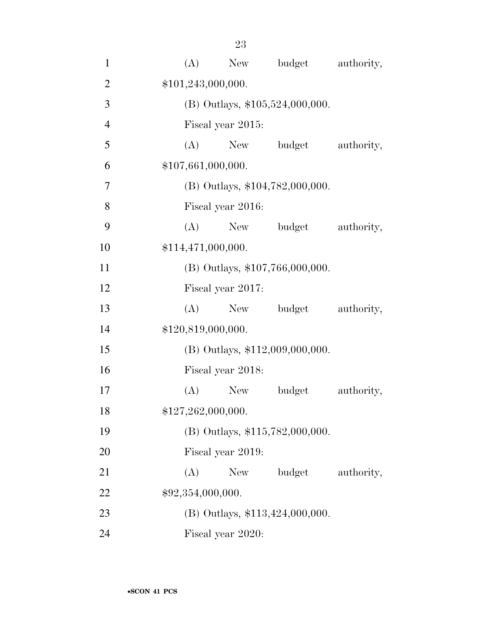| $\mathbf{1}$   | (A)               | New                | budget                            | authority, |
|----------------|-------------------|--------------------|-----------------------------------|------------|
| $\overline{2}$ |                   | \$101,243,000,000. |                                   |            |
| 3              |                   |                    | $(B)$ Outlays, \$105,524,000,000. |            |
| $\overline{4}$ |                   | Fiscal year 2015:  |                                   |            |
| 5              | (A)               | New                | budget                            | authority, |
| 6              |                   | \$107,661,000,000. |                                   |            |
| 7              |                   |                    | (B) Outlays, \$104,782,000,000.   |            |
| 8              |                   | Fiscal year 2016:  |                                   |            |
| 9              | (A)               | New                | budget                            | authority, |
| 10             |                   | \$114,471,000,000. |                                   |            |
| 11             |                   |                    | (B) Outlays, \$107,766,000,000.   |            |
| 12             |                   | Fiscal year 2017:  |                                   |            |
| 13             | (A)               | New                | budget                            | authority, |
| 14             |                   | \$120,819,000,000. |                                   |            |
| 15             |                   |                    | $(B)$ Outlays, \$112,009,000,000. |            |
| 16             |                   | Fiscal year 2018:  |                                   |            |
| 17             | (A)               | <b>New</b>         | budget                            | authority, |
| 18             |                   | \$127,262,000,000. |                                   |            |
| 19             |                   |                    | (B) Outlays, \$115,782,000,000.   |            |
| 20             |                   | Fiscal year 2019:  |                                   |            |
| 21             | (A)               | New                | budget                            | authority, |
| 22             | \$92,354,000,000. |                    |                                   |            |
| 23             |                   |                    | (B) Outlays, \$113,424,000,000.   |            |
| 24             |                   | Fiscal year 2020:  |                                   |            |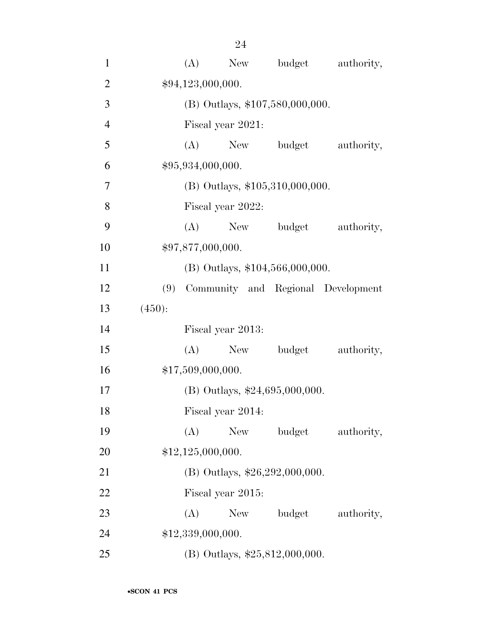| $\mathbf{1}$   |        | (A) | New                               | budget     | authority,                             |
|----------------|--------|-----|-----------------------------------|------------|----------------------------------------|
| $\overline{2}$ |        |     | \$94,123,000,000.                 |            |                                        |
| 3              |        |     | (B) Outlays, \$107,580,000,000.   |            |                                        |
| $\overline{4}$ |        |     | Fiscal year 2021:                 |            |                                        |
| 5              |        | (A) |                                   | New budget | authority,                             |
| 6              |        |     | \$95,934,000,000.                 |            |                                        |
| 7              |        |     | $(B)$ Outlays, \$105,310,000,000. |            |                                        |
| 8              |        |     | Fiscal year 2022:                 |            |                                        |
| 9              |        | (A) |                                   | New budget | authority,                             |
| 10             |        |     | \$97,877,000,000.                 |            |                                        |
| 11             |        |     | (B) Outlays, \$104,566,000,000.   |            |                                        |
| 12             |        |     |                                   |            | (9) Community and Regional Development |
| 13             | (450): |     |                                   |            |                                        |
| 14             |        |     | Fiscal year 2013:                 |            |                                        |
| 15             |        | (A) | New                               | budget     | authority,                             |
| 16             |        |     | \$17,509,000,000.                 |            |                                        |
| 17             |        |     | (B) Outlays, $$24,695,000,000$ .  |            |                                        |
| 18             |        |     | Fiscal year 2014:                 |            |                                        |
| 19             |        | (A) | New                               | budget     | authority,                             |
| <b>20</b>      |        |     | \$12,125,000,000.                 |            |                                        |
| 21             |        |     | (B) Outlays, $$26,292,000,000$ .  |            |                                        |
| 22             |        |     | Fiscal year 2015:                 |            |                                        |
| 23             |        | (A) | New                               | budget     | authority,                             |
| 24             |        |     | \$12,339,000,000.                 |            |                                        |
| 25             |        |     | (B) Outlays, $$25,812,000,000$ .  |            |                                        |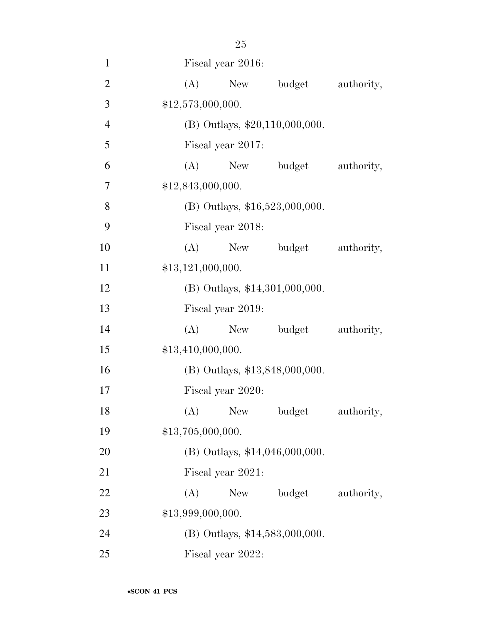| $\mathbf{1}$   | Fiscal year 2016:                |            |
|----------------|----------------------------------|------------|
| $\mathfrak{2}$ | New budget<br>(A)                | authority, |
| 3              | \$12,573,000,000.                |            |
| $\overline{4}$ | $(B)$ Outlays, \$20,110,000,000. |            |
| 5              | Fiscal year 2017:                |            |
| 6              | (A)<br>budget<br>New             | authority, |
| 7              | \$12,843,000,000.                |            |
| 8              | (B) Outlays, $$16,523,000,000$ . |            |
| 9              | Fiscal year 2018:                |            |
| 10             | (A)<br>New<br>budget             | authority, |
| 11             | \$13,121,000,000.                |            |
| 12             | (B) Outlays, \$14,301,000,000.   |            |
| 13             | Fiscal year 2019:                |            |
| 14             | (A)<br>New budget                | authority, |
| 15             | \$13,410,000,000.                |            |
| 16             | (B) Outlays, \$13,848,000,000.   |            |
| 17             | Fiscal year 2020:                |            |
| 18             | (A) New budget                   | authority, |
| 19             | \$13,705,000,000.                |            |
| 20             | $(B)$ Outlays, \$14,046,000,000. |            |
| 21             | Fiscal year 2021:                |            |
| 22             | (A)<br>budget<br>New             | authority, |
| 23             | \$13,999,000,000.                |            |
| 24             | (B) Outlays, \$14,583,000,000.   |            |
| 25             | Fiscal year 2022:                |            |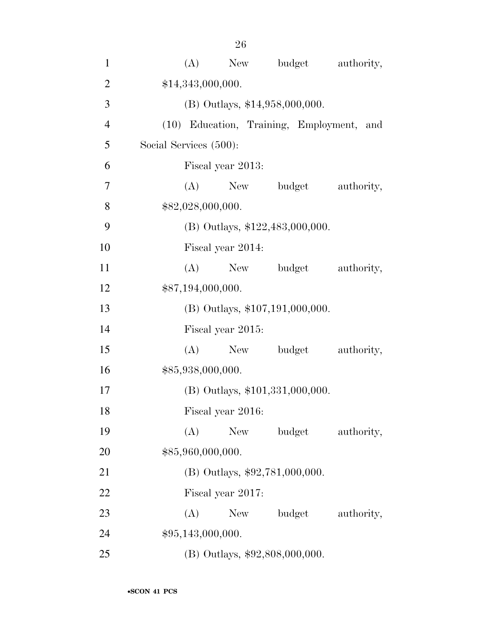| $\mathbf{1}$   | budget<br>(A)<br>New<br>authority,        |
|----------------|-------------------------------------------|
| $\overline{2}$ | \$14,343,000,000.                         |
| 3              | (B) Outlays, \$14,958,000,000.            |
| $\overline{4}$ | (10) Education, Training, Employment, and |
| 5              | Social Services (500):                    |
| 6              | Fiscal year 2013:                         |
| 7              | budget<br>(A)<br>New<br>authority,        |
| 8              | \$82,028,000,000.                         |
| 9              | (B) Outlays, \$122,483,000,000.           |
| 10             | Fiscal year 2014:                         |
| 11             | (A)<br>budget<br>authority,<br>New        |
| 12             | \$87,194,000,000.                         |
| 13             | (B) Outlays, \$107,191,000,000.           |
| 14             | Fiscal year 2015:                         |
| 15             | (A)<br>budget<br>authority,<br>New        |
| 16             | \$85,938,000,000.                         |
| 17             | (B) Outlays, \$101,331,000,000.           |
| 18             | Fiscal year 2016:                         |
| 19             | budget<br>(A)<br><b>New</b><br>authority, |
| 20             | \$85,960,000,000.                         |
| 21             | (B) Outlays, \$92,781,000,000.            |
| 22             | Fiscal year 2017:                         |
| 23             | (A)<br>budget<br>New<br>authority,        |
| 24             | \$95,143,000,000.                         |
| 25             | (B) Outlays, \$92,808,000,000.            |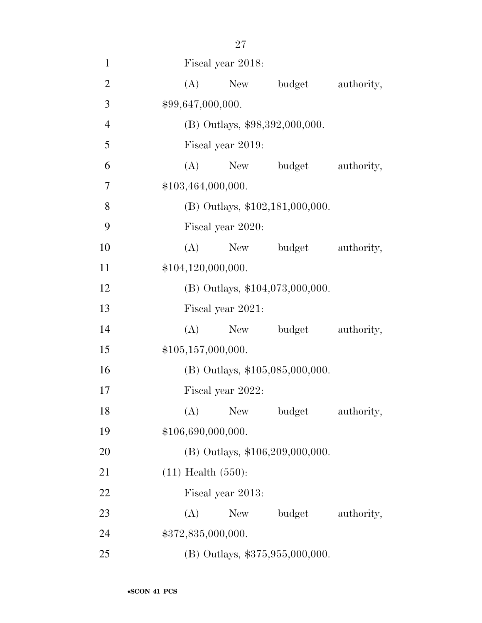| $\mathbf{1}$   | Fiscal year 2018:                  |  |  |  |  |
|----------------|------------------------------------|--|--|--|--|
| $\overline{2}$ | budget<br>(A)<br>New<br>authority, |  |  |  |  |
| 3              | \$99,647,000,000.                  |  |  |  |  |
| $\overline{4}$ | (B) Outlays, \$98,392,000,000.     |  |  |  |  |
| 5              | Fiscal year 2019:                  |  |  |  |  |
| 6              | $(A)$ New<br>budget<br>authority,  |  |  |  |  |
| 7              | \$103,464,000,000.                 |  |  |  |  |
| 8              | (B) Outlays, \$102,181,000,000.    |  |  |  |  |
| 9              | Fiscal year 2020:                  |  |  |  |  |
| 10             | (A)<br>New<br>budget<br>authority, |  |  |  |  |
| 11             | \$104,120,000,000.                 |  |  |  |  |
| 12             | $(B)$ Outlays, \$104,073,000,000.  |  |  |  |  |
| 13             | Fiscal year 2021:                  |  |  |  |  |
| 14             | budget<br>(A)<br>New<br>authority, |  |  |  |  |
| 15             | \$105,157,000,000.                 |  |  |  |  |
| 16             | (B) Outlays, \$105,085,000,000.    |  |  |  |  |
| 17             | Fiscal year 2022:                  |  |  |  |  |
| 18             | (A) New budget<br>authority,       |  |  |  |  |
| 19             | \$106,690,000,000.                 |  |  |  |  |
| 20             | (B) Outlays, \$106,209,000,000.    |  |  |  |  |
| 21             | $(11)$ Health $(550)$ :            |  |  |  |  |
| 22             | Fiscal year 2013:                  |  |  |  |  |
| 23             | budget<br>(A)<br>New<br>authority, |  |  |  |  |
| 24             | \$372,835,000,000.                 |  |  |  |  |
| 25             | (B) Outlays, \$375,955,000,000.    |  |  |  |  |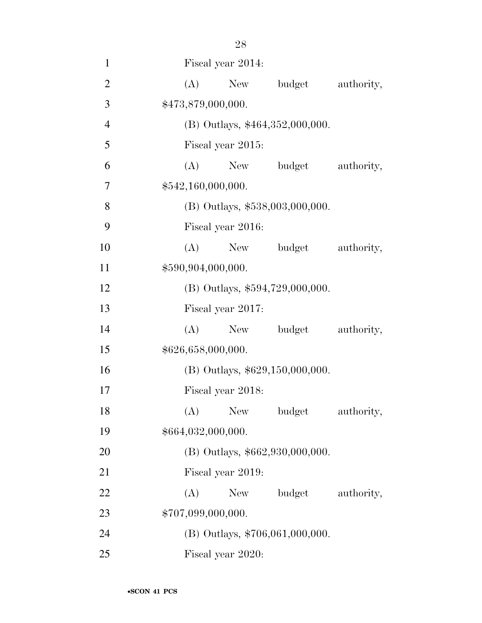| $\mathbf{1}$   | Fiscal year 2014:                         |
|----------------|-------------------------------------------|
| $\overline{2}$ | (A)<br>New<br>budget<br>authority,        |
| 3              | \$473,879,000,000.                        |
| $\overline{4}$ | $(B)$ Outlays, \$464,352,000,000.         |
| 5              | Fiscal year 2015:                         |
| 6              | budget<br>(A)<br>New<br>authority,        |
| 7              | \$542,160,000,000.                        |
| 8              | (B) Outlays, \$538,003,000,000.           |
| 9              | Fiscal year 2016:                         |
| 10             | (A)<br>authority,<br>New<br>budget        |
| 11             | \$590,904,000,000.                        |
| 12             | (B) Outlays, \$594,729,000,000.           |
| 13             | Fiscal year 2017:                         |
| 14             | (A)<br>New<br>budget<br>authority,        |
| 15             | \$626,658,000,000.                        |
| 16             | (B) Outlays, \$629,150,000,000.           |
| 17             | Fiscal year 2018:                         |
| 18             | (A)<br><b>New</b><br>budget<br>authority, |
| 19             | \$664,032,000,000.                        |
| 20             | (B) Outlays, \$662,930,000,000.           |
| 21             | Fiscal year 2019:                         |
| 22             | (A)<br>budget<br>authority,<br>New        |
| 23             | \$707,099,000,000.                        |
| 24             | (B) Outlays, \$706,061,000,000.           |
| 25             | Fiscal year 2020:                         |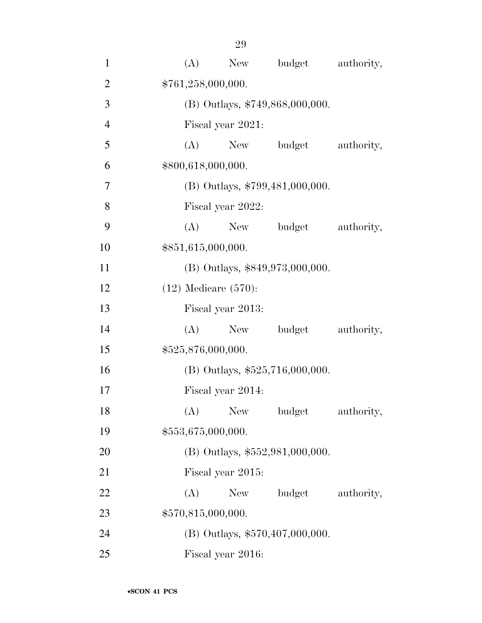| $\mathbf{1}$   | (A)                | New                             | budget                          | authority, |  |  |  |
|----------------|--------------------|---------------------------------|---------------------------------|------------|--|--|--|
| $\overline{2}$ | \$761,258,000,000. |                                 |                                 |            |  |  |  |
| 3              |                    | (B) Outlays, \$749,868,000,000. |                                 |            |  |  |  |
| $\overline{4}$ |                    | Fiscal year 2021:               |                                 |            |  |  |  |
| 5              | (A)                | New                             | budget                          | authority, |  |  |  |
| 6              | \$800,618,000,000. |                                 |                                 |            |  |  |  |
| $\tau$         |                    |                                 | (B) Outlays, \$799,481,000,000. |            |  |  |  |
| 8              |                    | Fiscal year 2022:               |                                 |            |  |  |  |
| 9              | (A)                | New                             | budget                          | authority, |  |  |  |
| 10             | \$851,615,000,000. |                                 |                                 |            |  |  |  |
| 11             |                    |                                 | (B) Outlays, \$849,973,000,000. |            |  |  |  |
| 12             |                    | $(12)$ Medicare $(570)$ :       |                                 |            |  |  |  |
| 13             |                    | Fiscal year 2013:               |                                 |            |  |  |  |
| 14             | (A)                | New                             | budget                          | authority, |  |  |  |
| 15             |                    | \$525,876,000,000.              |                                 |            |  |  |  |
| 16             |                    |                                 | (B) Outlays, \$525,716,000,000. |            |  |  |  |
| 17             |                    | Fiscal year 2014:               |                                 |            |  |  |  |
| 18             | (A)                | New                             | budget                          | authority, |  |  |  |
| 19             | \$553,675,000,000. |                                 |                                 |            |  |  |  |
| 20             |                    |                                 | (B) Outlays, \$552,981,000,000. |            |  |  |  |
| 21             |                    | Fiscal year 2015:               |                                 |            |  |  |  |
| 22             | (A)                | New                             | budget                          | authority, |  |  |  |
| 23             | \$570,815,000,000. |                                 |                                 |            |  |  |  |
| 24             |                    |                                 | (B) Outlays, \$570,407,000,000. |            |  |  |  |
| 25             |                    | Fiscal year 2016:               |                                 |            |  |  |  |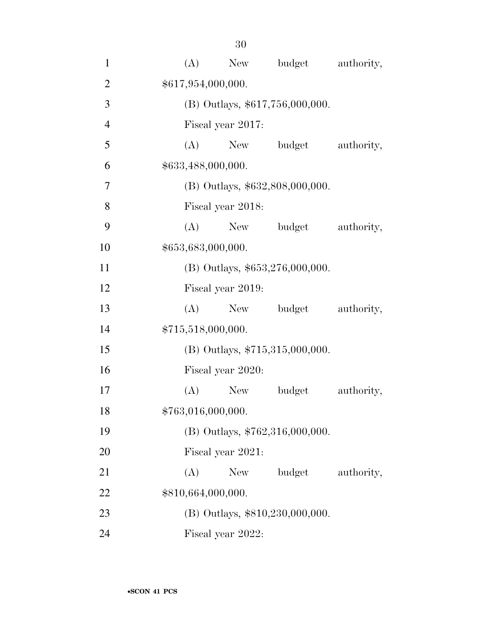| $\mathbf{1}$   | (A)                | New               | budget                            | authority, |
|----------------|--------------------|-------------------|-----------------------------------|------------|
| $\overline{2}$ | \$617,954,000,000. |                   |                                   |            |
| 3              |                    |                   | $(B)$ Outlays, \$617,756,000,000. |            |
| $\overline{4}$ |                    | Fiscal year 2017: |                                   |            |
| 5              | (A)                | New               | budget                            | authority, |
| 6              | \$633,488,000,000. |                   |                                   |            |
| $\overline{7}$ |                    |                   | (B) Outlays, \$632,808,000,000.   |            |
| 8              |                    | Fiscal year 2018: |                                   |            |
| 9              | (A)                | New               | budget                            | authority, |
| 10             | \$653,683,000,000. |                   |                                   |            |
| 11             |                    |                   | $(B)$ Outlays, \$653,276,000,000. |            |
| 12             |                    | Fiscal year 2019: |                                   |            |
| 13             | (A)                | New               | budget                            | authority, |
| 14             | \$715,518,000,000. |                   |                                   |            |
| 15             |                    |                   | (B) Outlays, $$715,315,000,000$ . |            |
| 16             |                    | Fiscal year 2020: |                                   |            |
| 17             | (A)                | New               | budget                            | authority, |
| 18             | \$763,016,000,000. |                   |                                   |            |
| 19             |                    |                   | (B) Outlays, \$762,316,000,000.   |            |
| 20             |                    | Fiscal year 2021: |                                   |            |
| 21             | (A)                | New               | budget                            | authority, |
| 22             | \$810,664,000,000. |                   |                                   |            |
| 23             |                    |                   | (B) Outlays, \$810,230,000,000.   |            |
| 24             |                    | Fiscal year 2022: |                                   |            |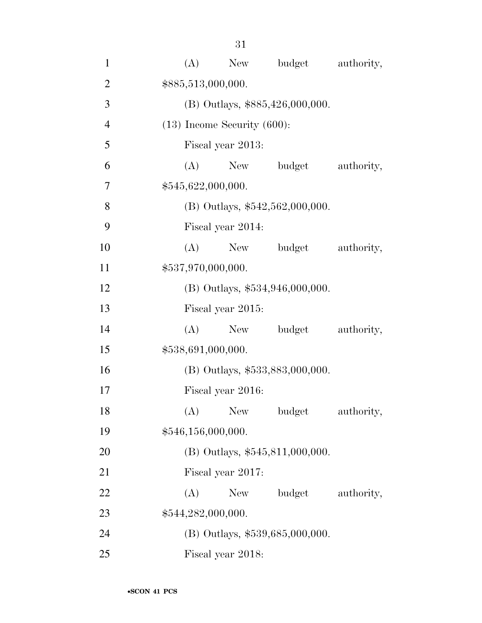| $\mathbf{1}$   | budget<br>(A)<br>New<br>authority,        |  |  |  |  |  |  |
|----------------|-------------------------------------------|--|--|--|--|--|--|
| $\overline{2}$ | \$885,513,000,000.                        |  |  |  |  |  |  |
| 3              | (B) Outlays, \$885,426,000,000.           |  |  |  |  |  |  |
| $\overline{4}$ | $(13)$ Income Security $(600)$ :          |  |  |  |  |  |  |
| 5              | Fiscal year 2013:                         |  |  |  |  |  |  |
| 6              | (A)<br>New<br>budget<br>authority,        |  |  |  |  |  |  |
| 7              | \$545,622,000,000.                        |  |  |  |  |  |  |
| 8              | (B) Outlays, $$542,562,000,000$ .         |  |  |  |  |  |  |
| 9              | Fiscal year 2014:                         |  |  |  |  |  |  |
| 10             | (A)<br>budget<br>authority,<br>New        |  |  |  |  |  |  |
| 11             | \$537,970,000,000.                        |  |  |  |  |  |  |
| 12             | $(B)$ Outlays, \$534,946,000,000.         |  |  |  |  |  |  |
| 13             | Fiscal year 2015:                         |  |  |  |  |  |  |
| 14             | New budget<br>(A)<br>authority,           |  |  |  |  |  |  |
| 15             | \$538,691,000,000.                        |  |  |  |  |  |  |
| 16             | (B) Outlays, \$533,883,000,000.           |  |  |  |  |  |  |
| 17             | Fiscal year 2016:                         |  |  |  |  |  |  |
| 18             | <b>New</b><br>(A)<br>budget<br>authority, |  |  |  |  |  |  |
| 19             | \$546,156,000,000.                        |  |  |  |  |  |  |
| 20             | $(B)$ Outlays, \$545,811,000,000.         |  |  |  |  |  |  |
| 21             | Fiscal year 2017:                         |  |  |  |  |  |  |
| 22             | (A)<br>budget<br>authority,<br>New        |  |  |  |  |  |  |
| 23             | \$544,282,000,000.                        |  |  |  |  |  |  |
| 24             | $(B)$ Outlays, \$539,685,000,000.         |  |  |  |  |  |  |
| 25             | Fiscal year 2018:                         |  |  |  |  |  |  |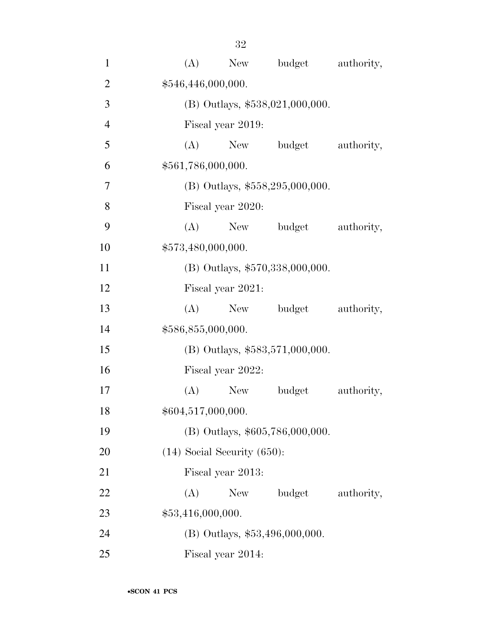| $\mathbf{1}$   | budget<br>(A)<br>New<br>authority, |  |  |  |  |  |  |
|----------------|------------------------------------|--|--|--|--|--|--|
| $\overline{2}$ | \$546,446,000,000.                 |  |  |  |  |  |  |
| 3              | (B) Outlays, \$538,021,000,000.    |  |  |  |  |  |  |
| $\overline{4}$ | Fiscal year 2019:                  |  |  |  |  |  |  |
| 5              | (A)<br>budget<br>New<br>authority, |  |  |  |  |  |  |
| 6              | \$561,786,000,000.                 |  |  |  |  |  |  |
| $\overline{7}$ | (B) Outlays, $$558,295,000,000$ .  |  |  |  |  |  |  |
| 8              | Fiscal year 2020:                  |  |  |  |  |  |  |
| 9              | (A)<br>budget<br>authority,<br>New |  |  |  |  |  |  |
| 10             | \$573,480,000,000.                 |  |  |  |  |  |  |
| 11             | (B) Outlays, \$570,338,000,000.    |  |  |  |  |  |  |
| 12             | Fiscal year 2021:                  |  |  |  |  |  |  |
| 13             | New budget<br>(A)<br>authority,    |  |  |  |  |  |  |
| 14             | \$586,855,000,000.                 |  |  |  |  |  |  |
| 15             | $(B)$ Outlays, \$583,571,000,000.  |  |  |  |  |  |  |
| 16             | Fiscal year 2022:                  |  |  |  |  |  |  |
| 17             | (A)<br>New<br>budget<br>authority, |  |  |  |  |  |  |
| 18             | \$604,517,000,000.                 |  |  |  |  |  |  |
| 19             | (B) Outlays, \$605,786,000,000.    |  |  |  |  |  |  |
| 20             | $(14)$ Social Security $(650)$ :   |  |  |  |  |  |  |
| 21             | Fiscal year 2013:                  |  |  |  |  |  |  |
| 22             | (A)<br>budget<br>New<br>authority, |  |  |  |  |  |  |
| 23             | \$53,416,000,000.                  |  |  |  |  |  |  |
| 24             | $(B)$ Outlays, \$53,496,000,000.   |  |  |  |  |  |  |
| 25             | Fiscal year 2014:                  |  |  |  |  |  |  |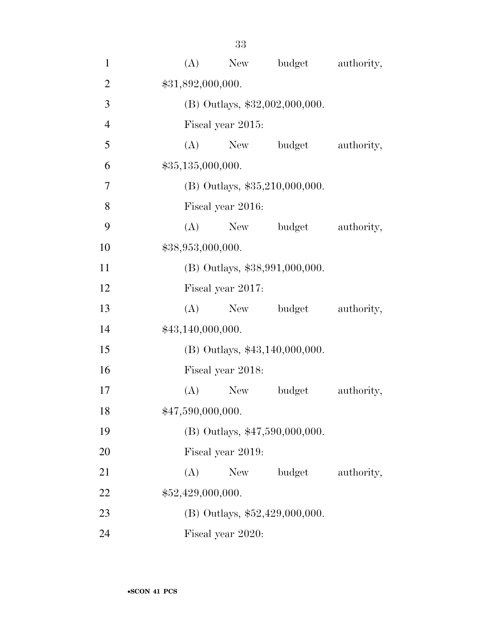| $\mathbf{1}$   | (A)               | New               | budget                           | authority, |
|----------------|-------------------|-------------------|----------------------------------|------------|
| $\overline{2}$ | \$31,892,000,000. |                   |                                  |            |
| 3              |                   |                   | $(B)$ Outlays, \$32,002,000,000. |            |
| $\overline{4}$ |                   | Fiscal year 2015: |                                  |            |
| 5              |                   |                   | (A) New budget                   | authority, |
| 6              | \$35,135,000,000. |                   |                                  |            |
| $\overline{7}$ |                   |                   | $(B)$ Outlays, \$35,210,000,000. |            |
| 8              |                   | Fiscal year 2016: |                                  |            |
| 9              | (A)               |                   | New budget                       | authority, |
| 10             | \$38,953,000,000. |                   |                                  |            |
| 11             |                   |                   | (B) Outlays, \$38,991,000,000.   |            |
| 12             |                   | Fiscal year 2017: |                                  |            |
| 13             | (A)               | New               | budget                           | authority, |
| 14             | \$43,140,000,000. |                   |                                  |            |
| 15             |                   |                   | (B) Outlays, \$43,140,000,000.   |            |
| 16             |                   | Fiscal year 2018: |                                  |            |
| 17             | (A)               | New               | budget                           | authority, |
| 18             | \$47,590,000,000. |                   |                                  |            |
| 19             |                   |                   | (B) Outlays, \$47,590,000,000.   |            |
| 20             |                   | Fiscal year 2019: |                                  |            |
| 21             | (A)               | New               | budget                           | authority, |
| 22             | \$52,429,000,000. |                   |                                  |            |
| 23             |                   |                   | (B) Outlays, $$52,429,000,000$ . |            |
| 24             |                   | Fiscal year 2020: |                                  |            |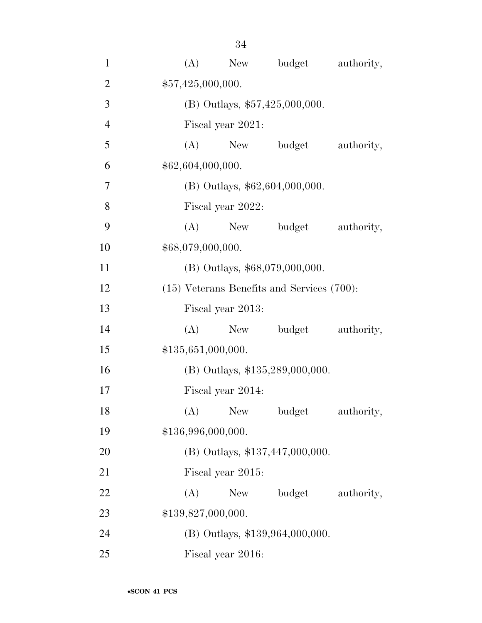| $\mathbf{1}$   | (A)                | New                              | budget                                          | authority, |  |  |  |
|----------------|--------------------|----------------------------------|-------------------------------------------------|------------|--|--|--|
| $\overline{2}$ |                    | \$57,425,000,000.                |                                                 |            |  |  |  |
| 3              |                    | (B) Outlays, $$57,425,000,000$ . |                                                 |            |  |  |  |
| $\overline{4}$ |                    | Fiscal year 2021:                |                                                 |            |  |  |  |
| 5              | (A)                | New                              | budget                                          | authority, |  |  |  |
| 6              | \$62,604,000,000.  |                                  |                                                 |            |  |  |  |
| 7              |                    |                                  | $(B)$ Outlays, \$62,604,000,000.                |            |  |  |  |
| 8              |                    | Fiscal year 2022:                |                                                 |            |  |  |  |
| 9              | (A)                | New                              | budget                                          | authority, |  |  |  |
| 10             | \$68,079,000,000.  |                                  |                                                 |            |  |  |  |
| 11             |                    |                                  | (B) Outlays, \$68,079,000,000.                  |            |  |  |  |
| 12             |                    |                                  | $(15)$ Veterans Benefits and Services $(700)$ : |            |  |  |  |
| 13             |                    | Fiscal year 2013:                |                                                 |            |  |  |  |
| 14             | (A)                | New                              | budget                                          | authority, |  |  |  |
| 15             | \$135,651,000,000. |                                  |                                                 |            |  |  |  |
| 16             |                    |                                  | (B) Outlays, \$135,289,000,000.                 |            |  |  |  |
| 17             |                    | Fiscal year 2014:                |                                                 |            |  |  |  |
| 18             | (A)                | New                              | budget                                          | authority, |  |  |  |
| 19             | \$136,996,000,000. |                                  |                                                 |            |  |  |  |
| 20             |                    |                                  | (B) Outlays, \$137,447,000,000.                 |            |  |  |  |
| 21             |                    | Fiscal year 2015:                |                                                 |            |  |  |  |
| 22             | (A)                | New                              | budget                                          | authority, |  |  |  |
| 23             | \$139,827,000,000. |                                  |                                                 |            |  |  |  |
| 24             |                    |                                  | (B) Outlays, \$139,964,000,000.                 |            |  |  |  |
| 25             |                    | Fiscal year 2016:                |                                                 |            |  |  |  |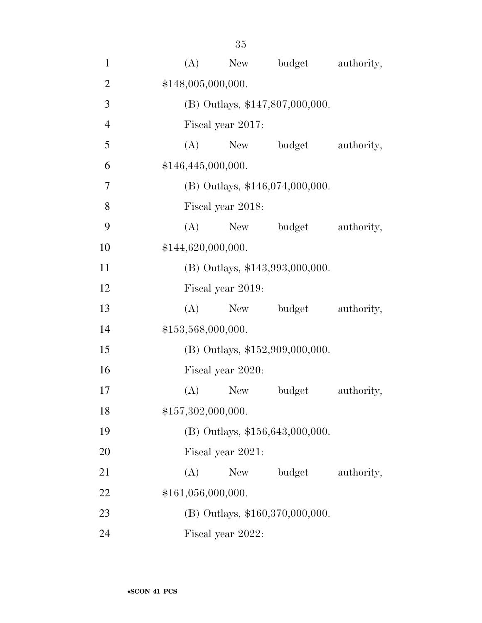| $\mathbf{1}$   | (A) | New                | budget                            | authority, |  |  |  |
|----------------|-----|--------------------|-----------------------------------|------------|--|--|--|
| $\overline{2}$ |     | \$148,005,000,000. |                                   |            |  |  |  |
| 3              |     |                    | (B) Outlays, \$147,807,000,000.   |            |  |  |  |
| $\overline{4}$ |     | Fiscal year 2017:  |                                   |            |  |  |  |
| 5              | (A) | New                | budget                            | authority, |  |  |  |
| 6              |     | \$146,445,000,000. |                                   |            |  |  |  |
| 7              |     |                    | $(B)$ Outlays, \$146,074,000,000. |            |  |  |  |
| 8              |     | Fiscal year 2018:  |                                   |            |  |  |  |
| 9              | (A) | New                | budget                            | authority, |  |  |  |
| 10             |     | \$144,620,000,000. |                                   |            |  |  |  |
| 11             |     |                    | (B) Outlays, \$143,993,000,000.   |            |  |  |  |
| 12             |     | Fiscal year 2019:  |                                   |            |  |  |  |
| 13             | (A) | New                | budget                            | authority, |  |  |  |
| 14             |     | \$153,568,000,000. |                                   |            |  |  |  |
| 15             |     |                    | $(B)$ Outlays, \$152,909,000,000. |            |  |  |  |
| 16             |     | Fiscal year 2020:  |                                   |            |  |  |  |
| 17             | (A) | <b>New</b>         | budget                            | authority, |  |  |  |
| 18             |     | \$157,302,000,000. |                                   |            |  |  |  |
| 19             |     |                    | (B) Outlays, \$156,643,000,000.   |            |  |  |  |
| 20             |     | Fiscal year 2021:  |                                   |            |  |  |  |
| 21             | (A) | New \,             | budget                            | authority, |  |  |  |
| 22             |     | \$161,056,000,000. |                                   |            |  |  |  |
| 23             |     |                    | (B) Outlays, \$160,370,000,000.   |            |  |  |  |
| 24             |     | Fiscal year 2022:  |                                   |            |  |  |  |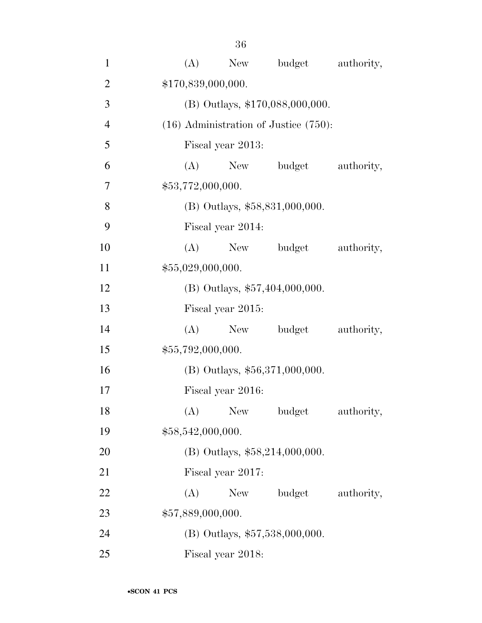| $\mathbf{1}$   | (A)                                        | budget<br>New                    | authority, |  |  |  |  |
|----------------|--------------------------------------------|----------------------------------|------------|--|--|--|--|
| $\overline{2}$ | \$170,839,000,000.                         |                                  |            |  |  |  |  |
| 3              |                                            | (B) Outlays, \$170,088,000,000.  |            |  |  |  |  |
| $\overline{4}$ | $(16)$ Administration of Justice $(750)$ : |                                  |            |  |  |  |  |
| 5              | Fiscal year 2013:                          |                                  |            |  |  |  |  |
| 6              | (A)<br>New                                 | budget                           | authority, |  |  |  |  |
| $\tau$         | \$53,772,000,000.                          |                                  |            |  |  |  |  |
| 8              |                                            | $(B)$ Outlays, \$58,831,000,000. |            |  |  |  |  |
| 9              | Fiscal year 2014:                          |                                  |            |  |  |  |  |
| 10             | (A)                                        | New<br>budget                    | authority, |  |  |  |  |
| 11             | \$55,029,000,000.                          |                                  |            |  |  |  |  |
| 12             |                                            | (B) Outlays, \$57,404,000,000.   |            |  |  |  |  |
| 13             | Fiscal year 2015:                          |                                  |            |  |  |  |  |
| 14             | (A)                                        | New budget                       | authority, |  |  |  |  |
| 15             | \$55,792,000,000.                          |                                  |            |  |  |  |  |
| 16             |                                            | (B) Outlays, \$56,371,000,000.   |            |  |  |  |  |
| 17             | Fiscal year 2016:                          |                                  |            |  |  |  |  |
| 18             |                                            | (A) New budget                   | authority, |  |  |  |  |
| 19             | \$58,542,000,000.                          |                                  |            |  |  |  |  |
| 20             |                                            | (B) Outlays, \$58,214,000,000.   |            |  |  |  |  |
| 21             | Fiscal year 2017:                          |                                  |            |  |  |  |  |
| 22             | (A)<br>New                                 | budget                           | authority, |  |  |  |  |
| 23             | \$57,889,000,000.                          |                                  |            |  |  |  |  |
| 24             |                                            | (B) Outlays, \$57,538,000,000.   |            |  |  |  |  |
| 25             | Fiscal year 2018:                          |                                  |            |  |  |  |  |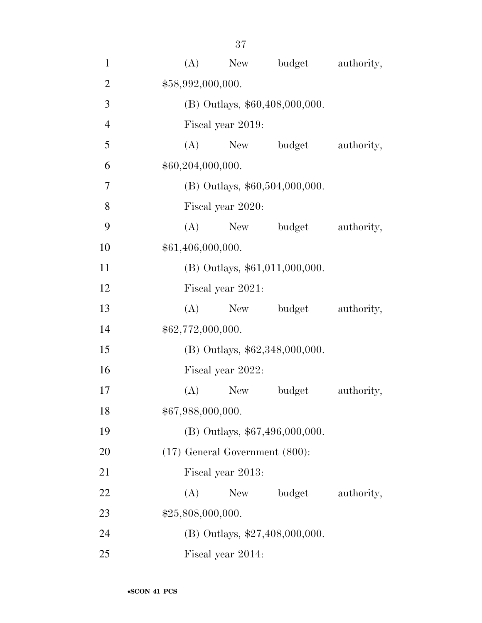| $\mathbf{1}$   | budget<br>(A)<br>New<br>authority,  |  |  |  |  |  |  |
|----------------|-------------------------------------|--|--|--|--|--|--|
| $\overline{2}$ | \$58,992,000,000.                   |  |  |  |  |  |  |
| 3              | (B) Outlays, \$60,408,000,000.      |  |  |  |  |  |  |
| $\overline{4}$ | Fiscal year 2019:                   |  |  |  |  |  |  |
| 5              | (A)<br>New<br>budget<br>authority,  |  |  |  |  |  |  |
| 6              | \$60,204,000,000.                   |  |  |  |  |  |  |
| $\overline{7}$ | (B) Outlays, \$60,504,000,000.      |  |  |  |  |  |  |
| 8              | Fiscal year 2020:                   |  |  |  |  |  |  |
| 9              | (A)<br>budget<br>authority,<br>New  |  |  |  |  |  |  |
| 10             | \$61,406,000,000.                   |  |  |  |  |  |  |
| 11             | (B) Outlays, \$61,011,000,000.      |  |  |  |  |  |  |
| 12             | Fiscal year 2021:                   |  |  |  |  |  |  |
| 13             | New budget<br>(A)<br>authority,     |  |  |  |  |  |  |
| 14             | \$62,772,000,000.                   |  |  |  |  |  |  |
| 15             | (B) Outlays, \$62,348,000,000.      |  |  |  |  |  |  |
| 16             | Fiscal year 2022:                   |  |  |  |  |  |  |
| 17             | authority,<br>(A)<br>New<br>budget  |  |  |  |  |  |  |
| 18             | \$67,988,000,000.                   |  |  |  |  |  |  |
| 19             | (B) Outlays, \$67,496,000,000.      |  |  |  |  |  |  |
| 20             | $(17)$ General Government $(800)$ : |  |  |  |  |  |  |
| 21             | Fiscal year 2013:                   |  |  |  |  |  |  |
| 22             | budget<br>(A)<br>New<br>authority,  |  |  |  |  |  |  |
| 23             | \$25,808,000,000.                   |  |  |  |  |  |  |
| 24             | (B) Outlays, \$27,408,000,000.      |  |  |  |  |  |  |
| 25             | Fiscal year 2014:                   |  |  |  |  |  |  |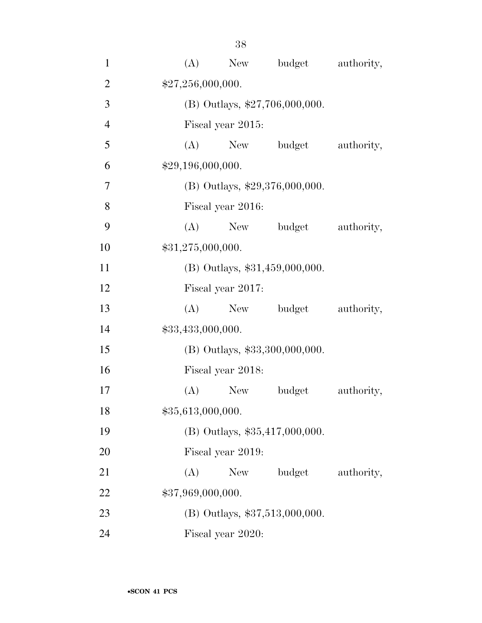| $\mathbf{1}$   | (A)               | New               | budget                           | authority, |
|----------------|-------------------|-------------------|----------------------------------|------------|
| $\overline{2}$ | \$27,256,000,000. |                   |                                  |            |
| 3              |                   |                   | (B) Outlays, $$27,706,000,000$ . |            |
| $\overline{4}$ |                   | Fiscal year 2015: |                                  |            |
| 5              | (A)               |                   | New budget                       | authority, |
| 6              | \$29,196,000,000. |                   |                                  |            |
| 7              |                   |                   | (B) Outlays, $$29,376,000,000$ . |            |
| 8              |                   | Fiscal year 2016: |                                  |            |
| 9              | (A)               |                   | New budget                       | authority, |
| 10             | \$31,275,000,000. |                   |                                  |            |
| 11             |                   |                   | (B) Outlays, \$31,459,000,000.   |            |
| 12             |                   | Fiscal year 2017: |                                  |            |
| 13             | (A)               | New               | budget                           | authority, |
| 14             | \$33,433,000,000. |                   |                                  |            |
| 15             |                   |                   | $(B)$ Outlays, \$33,300,000,000. |            |
| 16             |                   | Fiscal year 2018: |                                  |            |
| 17             | (A)               | <b>New</b>        | budget                           | authority, |
| 18             | \$35,613,000,000. |                   |                                  |            |
| 19             |                   |                   | $(B)$ Outlays, \$35,417,000,000. |            |
| 20             |                   | Fiscal year 2019: |                                  |            |
| 21             | (A)               | New               | budget                           | authority, |
| 22             | \$37,969,000,000. |                   |                                  |            |
| 23             |                   |                   | (B) Outlays, \$37,513,000,000.   |            |
| 24             |                   | Fiscal year 2020: |                                  |            |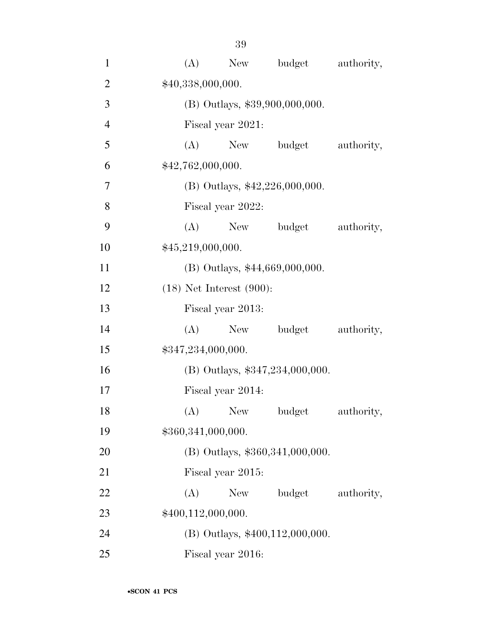| $\mathbf{1}$   | (A)                | New                           | budget                             | authority, |
|----------------|--------------------|-------------------------------|------------------------------------|------------|
| $\overline{2}$ | \$40,338,000,000.  |                               |                                    |            |
| 3              |                    |                               | (B) Outlays, \$39,900,000,000.     |            |
| $\overline{4}$ |                    | Fiscal year 2021:             |                                    |            |
| 5              | (A)                | New                           | budget                             | authority, |
| 6              | \$42,762,000,000.  |                               |                                    |            |
| $\tau$         |                    |                               | (B) Outlays, $$42,226,000,000$ .   |            |
| 8              |                    | Fiscal year 2022:             |                                    |            |
| 9              | (A)                | New                           | budget                             | authority, |
| 10             | \$45,219,000,000.  |                               |                                    |            |
| 11             |                    |                               | (B) Outlays, \$44,669,000,000.     |            |
| 12             |                    | $(18)$ Net Interest $(900)$ : |                                    |            |
| 13             |                    | Fiscal year 2013:             |                                    |            |
| 14             | (A)                | New                           | budget                             | authority, |
| 15             | \$347,234,000,000. |                               |                                    |            |
| 16             |                    |                               | (B) Outlays, \$347,234,000,000.    |            |
| 17             |                    | Fiscal year 2014:             |                                    |            |
| 18             |                    | $(A)$ New                     | $\boldsymbol{\mathrm{budget}}$     | authority, |
| 19             | \$360,341,000,000. |                               |                                    |            |
| 20             |                    |                               | (B) Outlays, \$360, 341, 000, 000. |            |
| 21             |                    | Fiscal year 2015:             |                                    |            |
| 22             | (A)                | New                           | budget                             | authority, |
| 23             | \$400,112,000,000. |                               |                                    |            |
| 24             |                    |                               | (B) Outlays, \$400,112,000,000.    |            |
| 25             |                    | Fiscal year 2016:             |                                    |            |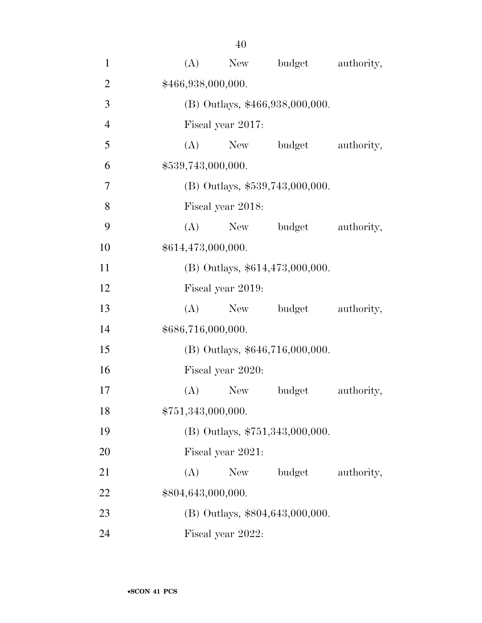| $\mathbf{1}$   | (A) | New                | budget                          | authority, |
|----------------|-----|--------------------|---------------------------------|------------|
| $\overline{2}$ |     | \$466,938,000,000. |                                 |            |
| 3              |     |                    | (B) Outlays, \$466,938,000,000. |            |
| $\overline{4}$ |     | Fiscal year 2017:  |                                 |            |
| 5              | (A) | New                | budget                          | authority, |
| 6              |     | \$539,743,000,000. |                                 |            |
| $\overline{7}$ |     |                    | (B) Outlays, \$539,743,000,000. |            |
| 8              |     | Fiscal year 2018:  |                                 |            |
| 9              | (A) | New                | budget                          | authority, |
| 10             |     | \$614,473,000,000. |                                 |            |
| 11             |     |                    | (B) Outlays, \$614,473,000,000. |            |
| 12             |     | Fiscal year 2019:  |                                 |            |
| 13             | (A) | New                | budget                          | authority, |
| 14             |     | \$686,716,000,000. |                                 |            |
| 15             |     |                    | (B) Outlays, \$646,716,000,000. |            |
| 16             |     | Fiscal year 2020:  |                                 |            |
| 17             | (A) | New                | budget                          | authority, |
| 18             |     | \$751,343,000,000. |                                 |            |
| 19             |     |                    | (B) Outlays, \$751,343,000,000. |            |
| 20             |     | Fiscal year 2021:  |                                 |            |
| 21             | (A) | New                | budget                          | authority, |
| 22             |     | \$804,643,000,000. |                                 |            |
| 23             |     |                    | (B) Outlays, \$804,643,000,000. |            |
| 24             |     | Fiscal year 2022:  |                                 |            |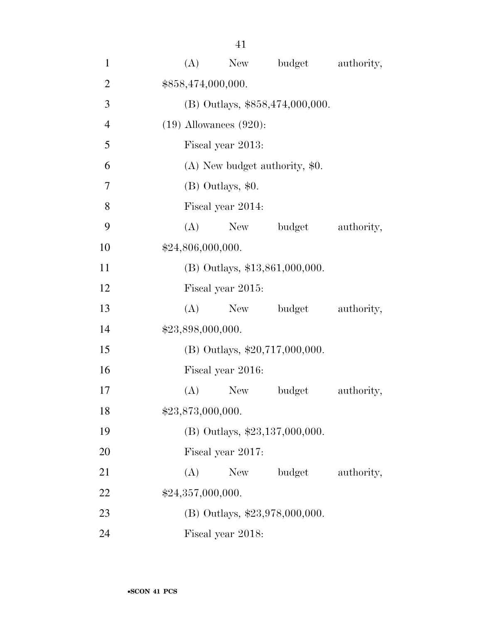| $\mathbf{1}$   | (A)                         | New               | budget                           | authority, |
|----------------|-----------------------------|-------------------|----------------------------------|------------|
| $\overline{2}$ | \$858,474,000,000.          |                   |                                  |            |
| 3              |                             |                   | (B) Outlays, \$858,474,000,000.  |            |
| $\overline{4}$ | $(19)$ Allowances $(920)$ : |                   |                                  |            |
| 5              |                             | Fiscal year 2013: |                                  |            |
| 6              |                             |                   | $(A)$ New budget authority, \$0. |            |
| $\tau$         |                             | (B) Outlays, \$0. |                                  |            |
| 8              |                             | Fiscal year 2014: |                                  |            |
| 9              | (A)                         | New               | budget                           | authority, |
| 10             | \$24,806,000,000.           |                   |                                  |            |
| 11             |                             |                   | $(B)$ Outlays, \$13,861,000,000. |            |
| 12             |                             | Fiscal year 2015: |                                  |            |
| 13             | (A)                         | New               | budget                           | authority, |
| 14             | \$23,898,000,000.           |                   |                                  |            |
| 15             |                             |                   | $(B)$ Outlays, \$20,717,000,000. |            |
| 16             |                             | Fiscal year 2016: |                                  |            |
| 17             | (A)                         | New               | budget                           | authority, |
| 18             | \$23,873,000,000.           |                   |                                  |            |
| 19             |                             |                   | (B) Outlays, \$23,137,000,000.   |            |
| 20             |                             | Fiscal year 2017: |                                  |            |
| 21             | (A)                         | New               | budget                           | authority, |
| 22             | \$24,357,000,000.           |                   |                                  |            |
| 23             |                             |                   | (B) Outlays, \$23,978,000,000.   |            |
| 24             |                             | Fiscal year 2018: |                                  |            |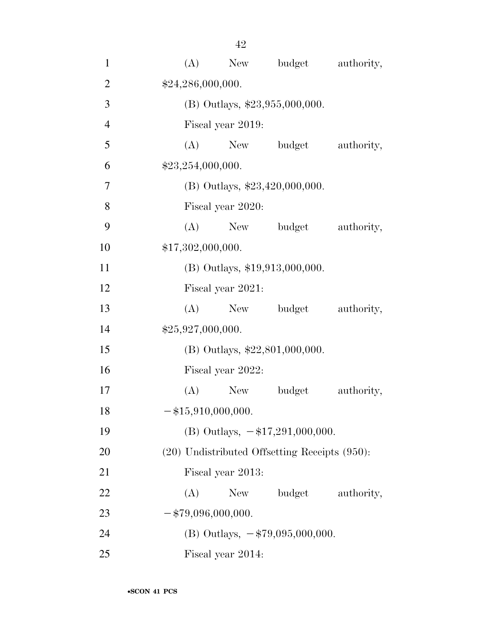| $\mathbf{1}$   | (A)<br>New                                         | budget     | authority, |
|----------------|----------------------------------------------------|------------|------------|
| $\overline{2}$ | \$24,286,000,000.                                  |            |            |
| 3              | (B) Outlays, \$23,955,000,000.                     |            |            |
| $\overline{4}$ | Fiscal year 2019:                                  |            |            |
| 5              | (A)                                                | New budget | authority, |
| 6              | \$23,254,000,000.                                  |            |            |
| $\tau$         | (B) Outlays, $$23,420,000,000$ .                   |            |            |
| 8              | Fiscal year 2020:                                  |            |            |
| 9              | (A)                                                | New budget | authority, |
| 10             | \$17,302,000,000.                                  |            |            |
| 11             | (B) Outlays, \$19,913,000,000.                     |            |            |
| 12             | Fiscal year 2021:                                  |            |            |
| 13             | (A)                                                | New budget | authority, |
| 14             | \$25,927,000,000.                                  |            |            |
| 15             | (B) Outlays, \$22,801,000,000.                     |            |            |
| 16             | Fiscal year 2022:                                  |            |            |
| 17             | (A)<br>New                                         | budget     | authority, |
| 18             | $-$ \$15,910,000,000.                              |            |            |
| 19             | (B) Outlays, $-\$17,291,000,000$ .                 |            |            |
| <b>20</b>      | $(20)$ Undistributed Offsetting Receipts $(950)$ : |            |            |
| 21             | Fiscal year 2013:                                  |            |            |
| 22             | (A)<br>New                                         | budget     | authority, |
| 23             | $-$ \$79,096,000,000.                              |            |            |
| 24             | (B) Outlays, $-\frac{279,095,000,000}{500,000}$ .  |            |            |
| 25             | Fiscal year 2014:                                  |            |            |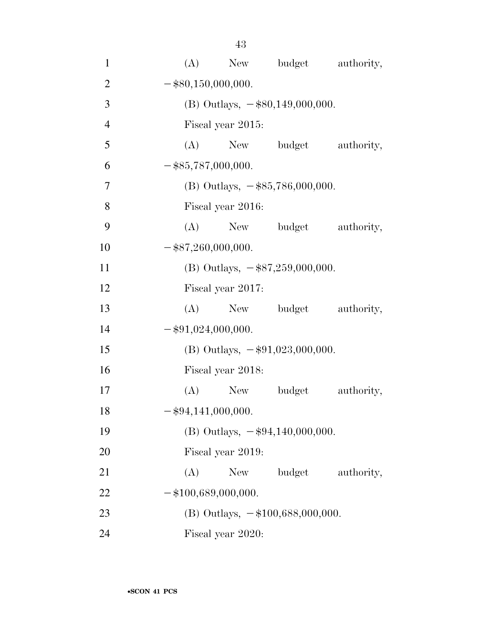| $\mathbf{1}$   | New budget authority,<br>(A)        |
|----------------|-------------------------------------|
| $\overline{2}$ | $-$ \$80,150,000,000.               |
| 3              | (B) Outlays, $-$ \$80,149,000,000.  |
| $\overline{4}$ | Fiscal year 2015:                   |
| 5              | (A) New budget<br>authority,        |
| 6              | $-$ \$85,787,000,000.               |
| $\overline{7}$ | (B) Outlays, $-\$85,786,000,000$ .  |
| 8              | Fiscal year 2016:                   |
| 9              | (A)<br>New budget authority,        |
| 10             | $-$ \$87,260,000,000.               |
| 11             | (B) Outlays, $-$ \$87,259,000,000.  |
| 12             | Fiscal year 2017:                   |
| 13             | New budget authority,<br>(A)        |
| 14             | $-$ \$91,024,000,000.               |
| 15             | (B) Outlays, $-\$91,023,000,000$ .  |
| 16             | Fiscal year 2018:                   |
| 17             | $(A)$ New<br>budget<br>authority,   |
| 18             | $-$ \$94,141,000,000.               |
| 19             | (B) Outlays, $-\$94,140,000,000$ .  |
| 20             | Fiscal year 2019:                   |
| 21             | budget<br>authority,<br>(A)<br>New  |
| 22             | $-$ \$100,689,000,000.              |
| 23             | (B) Outlays, $-\$100,688,000,000$ . |
| 24             | Fiscal year 2020:                   |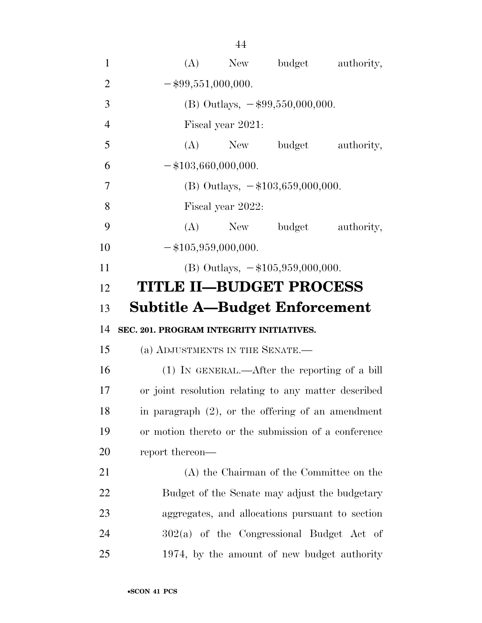| $\mathbf{1}$   | (A) New budget<br>authority,                         |
|----------------|------------------------------------------------------|
| $\overline{2}$ | $-$ \$99,551,000,000.                                |
| 3              | (B) Outlays, $-\$99,550,000,000$ .                   |
| $\overline{4}$ | Fiscal year 2021:                                    |
| 5              | (A) New budget authority,                            |
| 6              | $-$ \$103,660,000,000.                               |
| 7              | (B) Outlays, $-\$103,659,000,000$ .                  |
| 8              | Fiscal year 2022:                                    |
| 9              | (A) New budget authority,                            |
| 10             | $-$ \$105,959,000,000.                               |
| 11             | (B) Outlays, $-\$105,959,000,000$ .                  |
| 12             | <b>TITLE II-BUDGET PROCESS</b>                       |
| 13             | <b>Subtitle A-Budget Enforcement</b>                 |
| 14             | SEC. 201. PROGRAM INTEGRITY INITIATIVES.             |
| 15             | (a) ADJUSTMENTS IN THE SENATE.-                      |
| 16             | (1) IN GENERAL.—After the reporting of a bill        |
| 17             | or joint resolution relating to any matter described |
| 18             | in paragraph $(2)$ , or the offering of an amendment |
| 19             | or motion thereto or the submission of a conference  |
|                |                                                      |
| 20             | report thereon—                                      |
| 21             | (A) the Chairman of the Committee on the             |
| 22             | Budget of the Senate may adjust the budgetary        |
| 23             | aggregates, and allocations pursuant to section      |
| 24             | $302(a)$ of the Congressional Budget Act of          |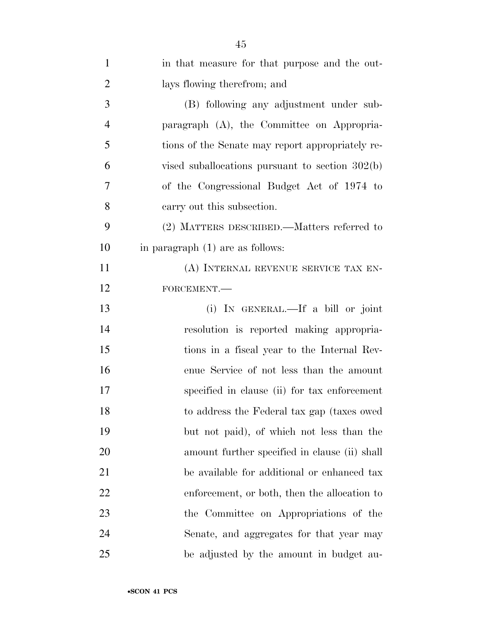| $\mathbf{1}$   | in that measure for that purpose and the out-     |
|----------------|---------------------------------------------------|
| $\overline{2}$ | lays flowing therefrom; and                       |
| 3              | (B) following any adjustment under sub-           |
| $\overline{4}$ | paragraph (A), the Committee on Appropria-        |
| 5              | tions of the Senate may report appropriately re-  |
| 6              | vised suballocations pursuant to section $302(b)$ |
| 7              | of the Congressional Budget Act of 1974 to        |
| 8              | carry out this subsection.                        |
| 9              | (2) MATTERS DESCRIBED.—Matters referred to        |
| 10             | in paragraph (1) are as follows:                  |
| 11             | (A) INTERNAL REVENUE SERVICE TAX EN-              |
| 12             | FORCEMENT.-                                       |
| 13             | (i) IN GENERAL.—If a bill or joint                |
| 14             | resolution is reported making appropria-          |
| 15             | tions in a fiscal year to the Internal Rev-       |
| 16             | enue Service of not less than the amount          |
| 17             | specified in clause (ii) for tax enforcement      |
| 18             | to address the Federal tax gap (taxes owed)       |
| 19             | but not paid), of which not less than the         |
| 20             | amount further specified in clause (ii) shall     |
| 21             | be available for additional or enhanced tax       |
| 22             | enforcement, or both, then the allocation to      |
| 23             | the Committee on Appropriations of the            |
| 24             | Senate, and aggregates for that year may          |
| 25             | be adjusted by the amount in budget au-           |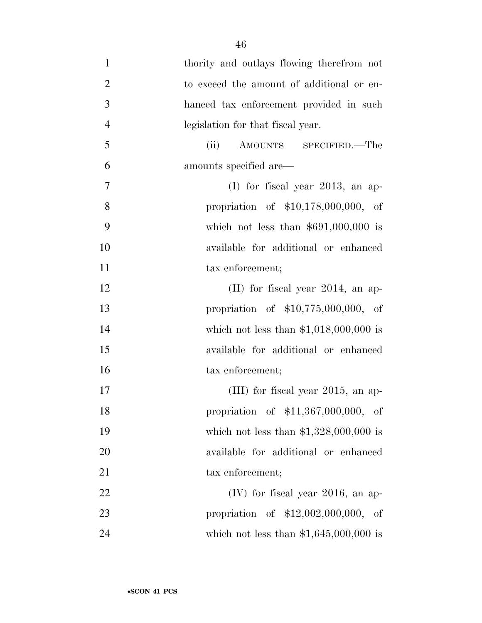| $\mathbf{1}$   | thority and outlays flowing therefrom not |
|----------------|-------------------------------------------|
| $\overline{2}$ | to exceed the amount of additional or en- |
| 3              | hanced tax enforcement provided in such   |
| $\overline{4}$ | legislation for that fiscal year.         |
| 5              | AMOUNTS SPECIFIED.—The<br>(ii)            |
| 6              | amounts specified are—                    |
| 7              | (I) for fiscal year 2013, an ap-          |
| 8              | propriation of \$10,178,000,000, of       |
| 9              | which not less than $$691,000,000$ is     |
| 10             | available for additional or enhanced      |
| 11             | tax enforcement;                          |
| 12             | $(II)$ for fiscal year 2014, an ap-       |
| 13             | propriation of $$10,775,000,000$ , of     |
| 14             | which not less than $$1,018,000,000$ is   |
| 15             | available for additional or enhanced      |
| 16             | tax enforcement;                          |
| 17             | (III) for fiscal year $2015$ , an ap-     |
| 18             | propriation of \$11,367,000,000, of       |
| 19             | which not less than $$1,328,000,000$ is   |
| 20             | available for additional or enhanced      |
| 21             | tax enforcement;                          |
| 22             | $(IV)$ for fiscal year 2016, an ap-       |
| 23             | propriation of \$12,002,000,000, of       |
| 24             | which not less than $$1,645,000,000$ is   |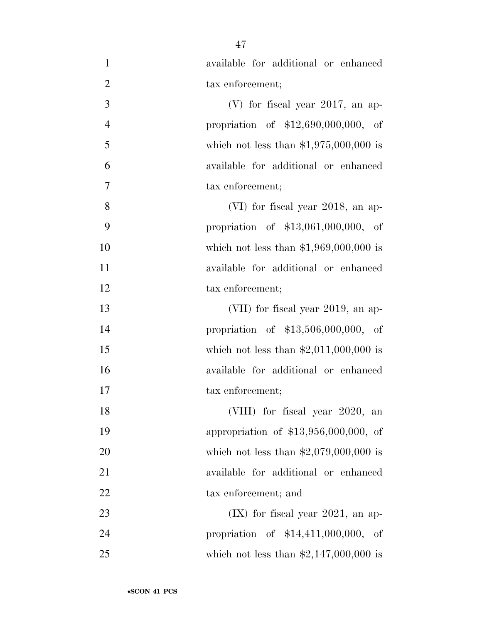| $\mathbf{1}$   | available for additional or enhanced    |
|----------------|-----------------------------------------|
| $\overline{2}$ | tax enforcement;                        |
| 3              | (V) for fiscal year $2017$ , an ap-     |
| $\overline{4}$ | propriation of $$12,690,000,000,$ of    |
| 5              | which not less than $$1,975,000,000$ is |
| 6              | available for additional or enhanced    |
| $\overline{7}$ | tax enforcement;                        |
| 8              | (VI) for fiscal year 2018, an ap-       |
| 9              | propriation of $$13,061,000,000$ , of   |
| 10             | which not less than $$1,969,000,000$ is |
| 11             | available for additional or enhanced    |
| 12             | tax enforcement;                        |
| 13             | (VII) for fiscal year 2019, an ap-      |
| 14             | propriation of $$13,506,000,000,$ of    |
| 15             | which not less than $$2,011,000,000$ is |
| 16             | available for additional or enhanced    |
| 17             | tax enforcement;                        |
| 18             | (VIII) for fiscal year 2020, an         |
| 19             | appropriation of \$13,956,000,000, of   |
| 20             | which not less than $$2,079,000,000$ is |
| 21             | available for additional or enhanced    |
| 22             | tax enforcement; and                    |
| 23             | $(IX)$ for fiscal year 2021, an ap-     |
| 24             | propriation of $$14,411,000,000$ , of   |
| 25             | which not less than $$2,147,000,000$ is |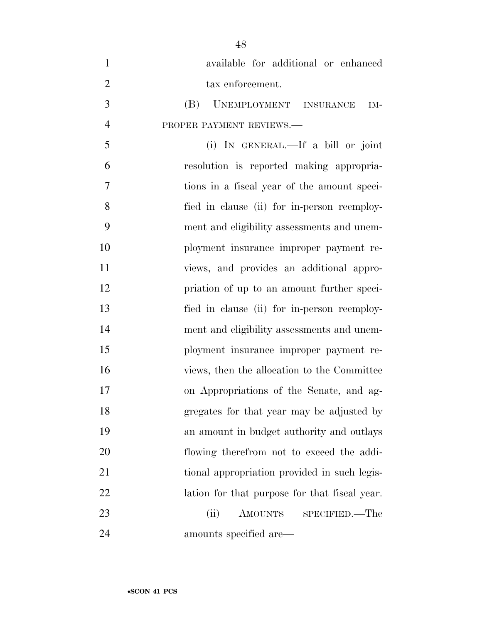| $\mathbf{1}$   | available for additional or enhanced          |
|----------------|-----------------------------------------------|
| $\overline{2}$ | tax enforcement.                              |
| 3              | UNEMPLOYMENT INSURANCE<br>(B)<br>IM-          |
| $\overline{4}$ | PROPER PAYMENT REVIEWS.-                      |
| 5              | (i) IN GENERAL.—If a bill or joint            |
| 6              | resolution is reported making appropria-      |
| 7              | tions in a fiscal year of the amount speci-   |
| 8              | fied in clause (ii) for in-person reemploy-   |
| 9              | ment and eligibility assessments and unem-    |
| 10             | ployment insurance improper payment re-       |
| 11             | views, and provides an additional appro-      |
| 12             | priation of up to an amount further speci-    |
| 13             | fied in clause (ii) for in-person reemploy-   |
| 14             | ment and eligibility assessments and unem-    |
| 15             | ployment insurance improper payment re-       |
| 16             | views, then the allocation to the Committee   |
| 17             | on Appropriations of the Senate, and ag-      |
| 18             | gregates for that year may be adjusted by     |
| 19             | an amount in budget authority and outlays     |
| 20             | flowing therefrom not to exceed the addi-     |
| 21             | tional appropriation provided in such legis-  |
| 22             | lation for that purpose for that fiscal year. |
| 23             | (ii)<br>AMOUNTS<br>SPECIFIED.—The             |
| 24             | amounts specified are—                        |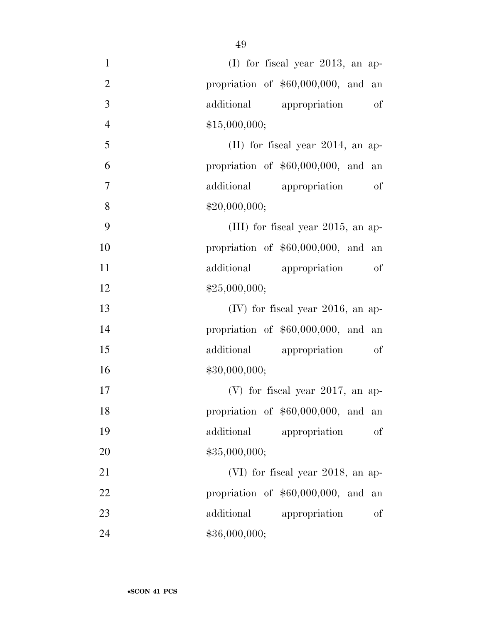| $\mathbf{1}$   | $(I)$ for fiscal year 2013, an ap-    |
|----------------|---------------------------------------|
| $\overline{2}$ | propriation of $$60,000,000$ , and an |
| 3              | additional appropriation<br>of        |
| $\overline{4}$ | \$15,000,000;                         |
| 5              | $(II)$ for fiscal year 2014, an ap-   |
| 6              | propriation of $$60,000,000$ , and an |
| $\overline{7}$ | additional appropriation of           |
| 8              | \$20,000,000;                         |
| 9              | (III) for fiscal year $2015$ , an ap- |
| 10             | propriation of $$60,000,000$ , and an |
| 11             | additional<br>appropriation of        |
| 12             | \$25,000,000;                         |
| 13             | $(IV)$ for fiscal year 2016, an ap-   |
| 14             | propriation of $$60,000,000$ , and an |
| 15             | additional<br>appropriation<br>of     |
| 16             | \$30,000,000;                         |
| 17             | (V) for fiscal year $2017$ , an ap-   |
| 18             | propriation of \$60,000,000, and an   |
| 19             | additional<br>appropriation<br>οf     |
| 20             | \$35,000,000;                         |
| 21             | (VI) for fiscal year 2018, an ap-     |
| 22             | propriation of $$60,000,000$ , and an |
| 23             | additional<br>appropriation<br>of     |
| 24             | \$36,000,000;                         |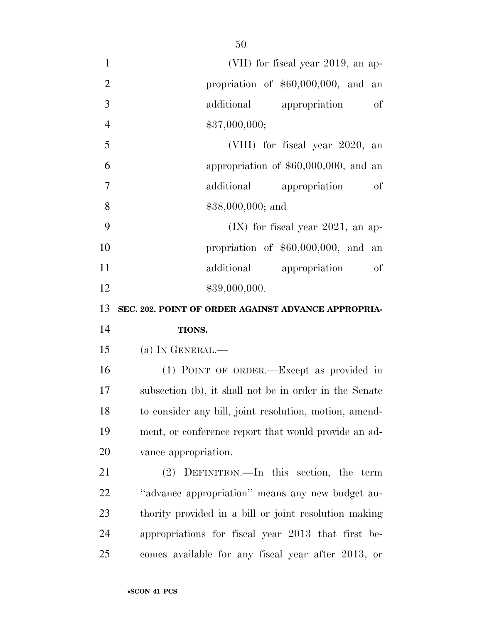| $\mathbf{1}$   | (VII) for fiscal year 2019, an ap-                     |
|----------------|--------------------------------------------------------|
| $\overline{2}$ | propriation of $$60,000,000$ , and an                  |
| 3              | additional appropriation<br>of                         |
| $\overline{4}$ | \$37,000,000;                                          |
| 5              | (VIII) for fiscal year 2020, an                        |
| 6              | appropriation of $$60,000,000$ , and an                |
| $\overline{7}$ | additional appropriation<br>of                         |
| 8              | $$38,000,000;$ and                                     |
| 9              | $(IX)$ for fiscal year 2021, an ap-                    |
| 10             | propriation of $$60,000,000$ , and an                  |
| 11             | additional appropriation of                            |
| 12             | \$39,000,000.                                          |
| 13             | SEC. 202. POINT OF ORDER AGAINST ADVANCE APPROPRIA-    |
| 14             | TIONS.                                                 |
| 15             | (a) IN GENERAL.—                                       |
| 16             | (1) POINT OF ORDER.—Except as provided in              |
| 17             | subsection (b), it shall not be in order in the Senate |
| 18             | to consider any bill, joint resolution, motion, amend- |
| 19             | ment, or conference report that would provide an ad-   |
| 20             | vance appropriation.                                   |
| 21             | (2) DEFINITION.—In this section, the term              |
| 22             | "advance appropriation" means any new budget au-       |
| 23             | thority provided in a bill or joint resolution making  |
| 24             | appropriations for fiscal year 2013 that first be-     |
| 25             | comes available for any fiscal year after 2013, or     |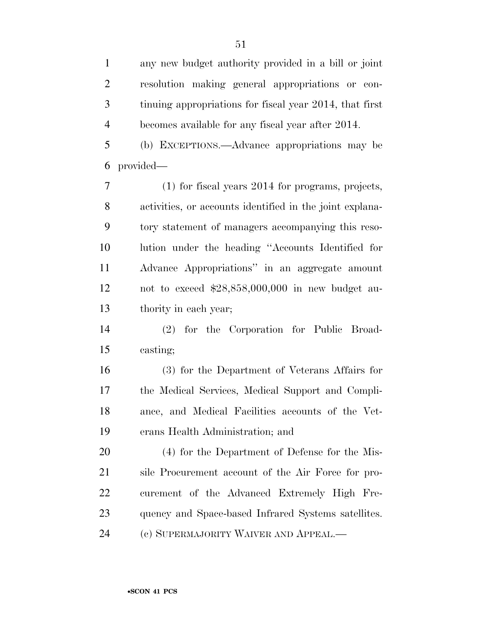any new budget authority provided in a bill or joint resolution making general appropriations or con- tinuing appropriations for fiscal year 2014, that first becomes available for any fiscal year after 2014. (b) EXCEPTIONS.—Advance appropriations may be provided— (1) for fiscal years 2014 for programs, projects, activities, or accounts identified in the joint explana- tory statement of managers accompanying this reso-lution under the heading ''Accounts Identified for

 Advance Appropriations'' in an aggregate amount not to exceed \$28,858,000,000 in new budget au-thority in each year;

 (2) for the Corporation for Public Broad-casting;

 (3) for the Department of Veterans Affairs for the Medical Services, Medical Support and Compli- ance, and Medical Facilities accounts of the Vet-erans Health Administration; and

 (4) for the Department of Defense for the Mis- sile Procurement account of the Air Force for pro- curement of the Advanced Extremely High Fre- quency and Space-based Infrared Systems satellites. (c) SUPERMAJORITY WAIVER AND APPEAL.—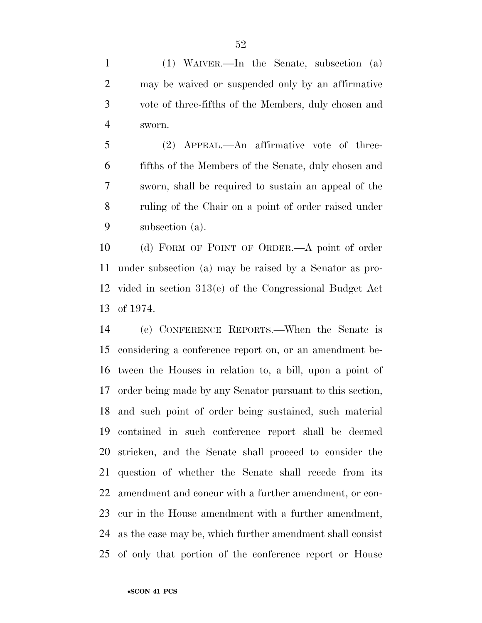(1) WAIVER.—In the Senate, subsection (a) may be waived or suspended only by an affirmative vote of three-fifths of the Members, duly chosen and sworn.

 (2) APPEAL.—An affirmative vote of three- fifths of the Members of the Senate, duly chosen and sworn, shall be required to sustain an appeal of the ruling of the Chair on a point of order raised under subsection (a).

 (d) FORM OF POINT OF ORDER.—A point of order under subsection (a) may be raised by a Senator as pro- vided in section 313(e) of the Congressional Budget Act of 1974.

 (e) CONFERENCE REPORTS.—When the Senate is considering a conference report on, or an amendment be- tween the Houses in relation to, a bill, upon a point of order being made by any Senator pursuant to this section, and such point of order being sustained, such material contained in such conference report shall be deemed stricken, and the Senate shall proceed to consider the question of whether the Senate shall recede from its amendment and concur with a further amendment, or con- cur in the House amendment with a further amendment, as the case may be, which further amendment shall consist of only that portion of the conference report or House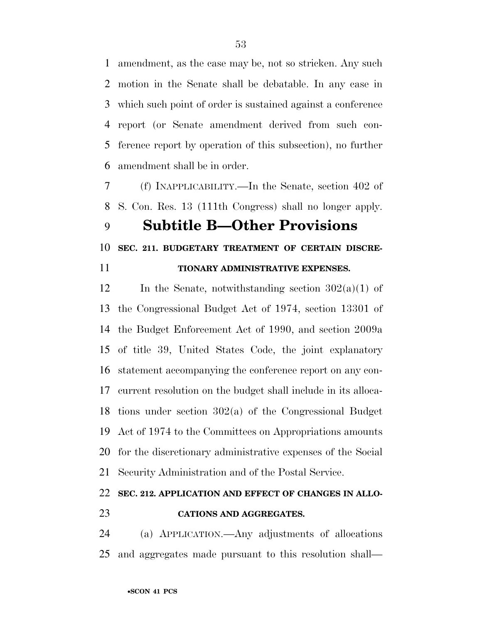amendment, as the case may be, not so stricken. Any such motion in the Senate shall be debatable. In any case in which such point of order is sustained against a conference report (or Senate amendment derived from such con- ference report by operation of this subsection), no further amendment shall be in order.

 (f) INAPPLICABILITY.—In the Senate, section 402 of S. Con. Res. 13 (111th Congress) shall no longer apply.

## **Subtitle B—Other Provisions**

## **SEC. 211. BUDGETARY TREATMENT OF CERTAIN DISCRE-**

| ۰.  | I |
|-----|---|
|     |   |
| . . |   |

## **TIONARY ADMINISTRATIVE EXPENSES.**

12 In the Senate, notwithstanding section  $302(a)(1)$  of the Congressional Budget Act of 1974, section 13301 of the Budget Enforcement Act of 1990, and section 2009a of title 39, United States Code, the joint explanatory statement accompanying the conference report on any con- current resolution on the budget shall include in its alloca- tions under section 302(a) of the Congressional Budget Act of 1974 to the Committees on Appropriations amounts for the discretionary administrative expenses of the Social Security Administration and of the Postal Service.

## **SEC. 212. APPLICATION AND EFFECT OF CHANGES IN ALLO-CATIONS AND AGGREGATES.**

 (a) APPLICATION.—Any adjustments of allocations and aggregates made pursuant to this resolution shall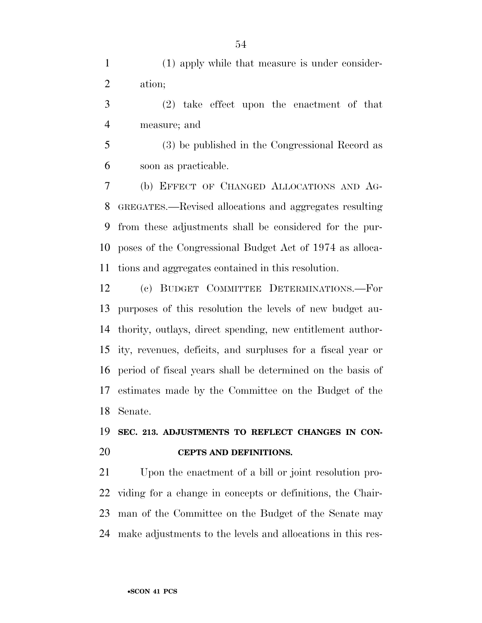(1) apply while that measure is under consider-ation;

 (2) take effect upon the enactment of that measure; and

 (3) be published in the Congressional Record as soon as practicable.

 (b) EFFECT OF CHANGED ALLOCATIONS AND AG- GREGATES.—Revised allocations and aggregates resulting from these adjustments shall be considered for the pur- poses of the Congressional Budget Act of 1974 as alloca-tions and aggregates contained in this resolution.

 (c) BUDGET COMMITTEE DETERMINATIONS.—For purposes of this resolution the levels of new budget au- thority, outlays, direct spending, new entitlement author- ity, revenues, deficits, and surpluses for a fiscal year or period of fiscal years shall be determined on the basis of estimates made by the Committee on the Budget of the Senate.

## **SEC. 213. ADJUSTMENTS TO REFLECT CHANGES IN CON-CEPTS AND DEFINITIONS.**

 Upon the enactment of a bill or joint resolution pro- viding for a change in concepts or definitions, the Chair- man of the Committee on the Budget of the Senate may make adjustments to the levels and allocations in this res-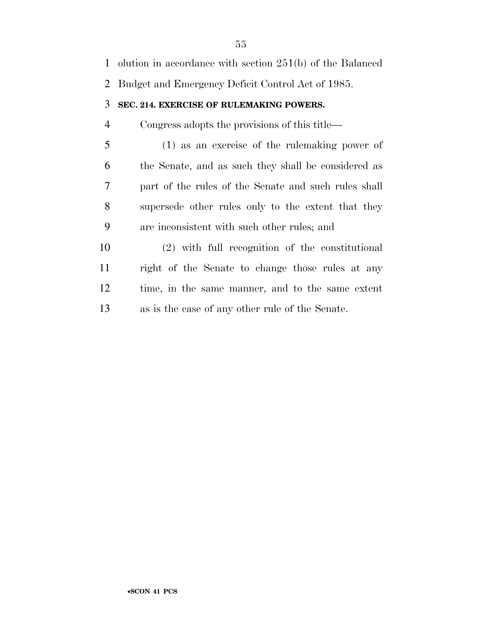| 1              | olution in accordance with section $251(b)$ of the Balanced |
|----------------|-------------------------------------------------------------|
|                | 2 Budget and Emergency Deficit Control Act of 1985.         |
| 3              | SEC. 214. EXERCISE OF RULEMAKING POWERS.                    |
| 4              | Congress adopts the provisions of this title—               |
| 5              | $(1)$ as an exercise of the rule making power of            |
| 6              | the Senate, and as such they shall be considered as         |
| $\overline{7}$ | part of the rules of the Senate and such rules shall        |
| 8              | supersede other rules only to the extent that they          |
| 9              | are inconsistent with such other rules; and                 |
| 10             | (2) with full recognition of the constitutional             |
| 11             | right of the Senate to change those rules at any            |
| 12             | time, in the same manner, and to the same extent            |
|                |                                                             |

as is the case of any other rule of the Senate.